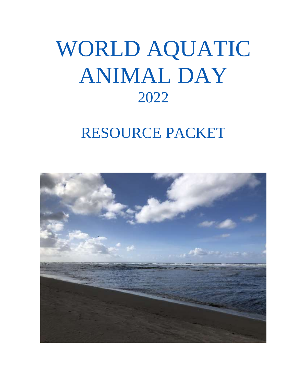# WORLD AQUATIC ANIMAL DAY 2022

## RESOURCE PACKET

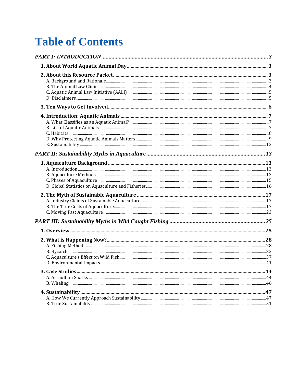### **Table of Contents**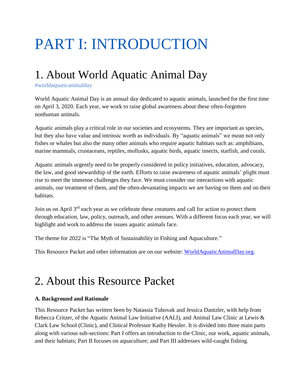## <span id="page-2-0"></span>PART I: INTRODUCTION

### <span id="page-2-1"></span>1. About World Aquatic Animal Day

#worldaquaticanimalday

World Aquatic Animal Day is an annual day dedicated to aquatic animals, launched for the first time on April 3, 2020. Each year, we work to raise global awareness about these often-forgotten nonhuman animals.

Aquatic animals play a critical role in our societies and ecosystems. They are important as species, but they also have value and intrinsic worth as individuals. By "aquatic animals" we mean not only fishes or whales but also the many other animals who require aquatic habitats such as: amphibians, marine mammals, crustaceans, reptiles, mollusks, aquatic birds, aquatic insects, starfish, and corals.

Aquatic animals urgently need to be properly considered in policy initiatives, education, advocacy, the law, and good stewardship of the earth. Efforts to raise awareness of aquatic animals' plight must rise to meet the immense challenges they face. We must consider our interactions with aquatic animals, our treatment of them, and the often-devastating impacts we are having on them and on their habitats.

Join us on April 3<sup>rd</sup> each year as we celebrate these creatures and call for action to protect them through education, law, policy, outreach, and other avenues. With a different focus each year, we will highlight and work to address the issues aquatic animals face.

The theme for 2022 is "The Myth of Sustainability in Fishing and Aquaculture."

This Resource Packet and other information are on our website: [WorldAquaticAnimalDay.org.](https://law.lclark.edu/centers/animal_law_studies/animal_law_clinics/aali/worldaquaticanimalday/)

### <span id="page-2-2"></span>2. About this Resource Packet

#### <span id="page-2-3"></span>**A. Background and Rationale**

This Resource Packet has written been by Natassia Tuhovak and Jessica Dantzler, with help from Rebecca Critzer, of the Aquatic Animal Law Initiative (AALI), and Animal Law Clinic at Lewis & Clark Law School (Clinic), and Clinical Professor Kathy Hessler. It is divided into three main parts along with various sub-sections: Part I offers an introduction to the Clinic, our work, aquatic animals, and their habitats; Part II focuses on aquaculture; and Part III addresses wild-caught fishing.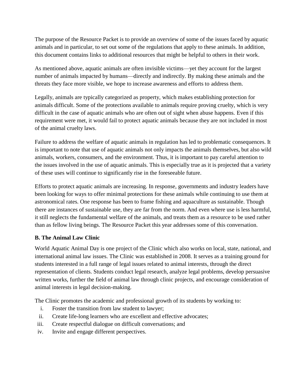The purpose of the Resource Packet is to provide an overview of some of the issues faced by aquatic animals and in particular, to set out some of the regulations that apply to these animals. In addition, this document contains links to additional resources that might be helpful to others in their work.

As mentioned above, aquatic animals are often invisible victims—yet they account for the largest number of animals impacted by humans—directly and indirectly. By making these animals and the threats they face more visible, we hope to increase awareness and efforts to address them.

Legally, animals are typically categorized as property, which makes establishing protection for animals difficult. Some of the protections available to animals require proving cruelty, which is very difficult in the case of aquatic animals who are often out of sight when abuse happens. Even if this requirement were met, it would fail to protect aquatic animals because they are not included in most of the animal cruelty laws.

Failure to address the welfare of aquatic animals in regulation has led to problematic consequences. It is important to note that use of aquatic animals not only impacts the animals themselves, but also wild animals, workers, consumers, and the environment. Thus, it is important to pay careful attention to the issues involved in the use of aquatic animals. This is especially true as it is projected that a variety of these uses will continue to significantly rise in the foreseeable future.

Efforts to protect aquatic animals are increasing. In response, governments and industry leaders have been looking for ways to offer minimal protections for these animals while continuing to use them at astronomical rates. One response has been to frame fishing and aquaculture as sustainable. Though there are instances of sustainable use, they are far from the norm. And even where use is less harmful, it still neglects the fundamental welfare of the animals, and treats them as a resource to be used rather than as fellow living beings. The Resource Packet this year addresses some of this conversation.

#### <span id="page-3-0"></span>**B. The Animal Law Clinic**

World Aquatic Animal Day is one project of the Clinic which also works on local, state, national, and international animal law issues. The Clinic was established in 2008. It serves as a training ground for students interested in a full range of legal issues related to animal interests, through the direct representation of clients. Students conduct legal research, analyze legal problems, develop persuasive written works, further the field of animal law through clinic projects, and encourage consideration of animal interests in legal decision-making.

The Clinic promotes the academic and professional growth of its students by working to:

- i. Foster the transition from law student to lawyer;
- ii. Create life-long learners who are excellent and effective advocates;
- iii. Create respectful dialogue on difficult conversations; and
- iv. Invite and engage different perspectives.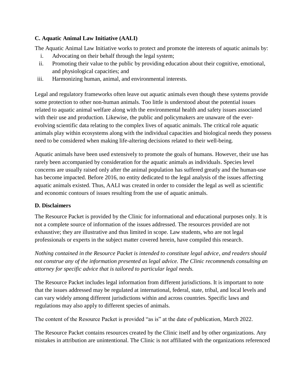#### <span id="page-4-0"></span>**C. Aquatic Animal Law Initiative (AALI)**

The Aquatic Animal Law Initiative works to protect and promote the interests of aquatic animals by:

- i. Advocating on their behalf through the legal system;
- ii. Promoting their value to the public by providing education about their cognitive, emotional, and physiological capacities; and
- iii. Harmonizing human, animal, and environmental interests.

Legal and regulatory frameworks often leave out aquatic animals even though these systems provide some protection to other non-human animals. Too little is understood about the potential issues related to aquatic animal welfare along with the environmental health and safety issues associated with their use and production. Likewise, the public and policymakers are unaware of the everevolving scientific data relating to the complex lives of aquatic animals. The critical role aquatic animals play within ecosystems along with the individual capacities and biological needs they possess need to be considered when making life-altering decisions related to their well-being.

Aquatic animals have been used extensively to promote the goals of humans. However, their use has rarely been accompanied by consideration for the aquatic animals as individuals. Species level concerns are usually raised only after the animal population has suffered greatly and the human-use has become impacted. Before 2016, no entity dedicated to the legal analysis of the issues affecting aquatic animals existed. Thus, AALI was created in order to consider the legal as well as scientific and economic contours of issues resulting from the use of aquatic animals.

#### <span id="page-4-1"></span>**D. Disclaimers**

The Resource Packet is provided by the Clinic for informational and educational purposes only. It is not a complete source of information of the issues addressed. The resources provided are not exhaustive; they are illustrative and thus limited in scope. Law students, who are not legal professionals or experts in the subject matter covered herein, have compiled this research.

*Nothing contained in the Resource Packet is intended to constitute legal advice, and readers should not construe any of the information presented as legal advice. The Clinic recommends consulting an attorney for specific advice that is tailored to particular legal needs.* 

The Resource Packet includes legal information from different jurisdictions. It is important to note that the issues addressed may be regulated at international, federal, state, tribal, and local levels and can vary widely among different jurisdictions within and across countries. Specific laws and regulations may also apply to different species of animals.

The content of the Resource Packet is provided "as is" at the date of publication, March 2022.

The Resource Packet contains resources created by the Clinic itself and by other organizations. Any mistakes in attribution are unintentional. The Clinic is not affiliated with the organizations referenced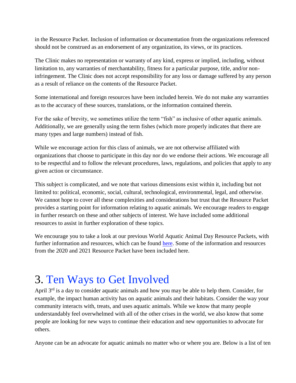in the Resource Packet. Inclusion of information or documentation from the organizations referenced should not be construed as an endorsement of any organization, its views, or its practices.

The Clinic makes no representation or warranty of any kind, express or implied, including, without limitation to, any warranties of merchantability, fitness for a particular purpose, title, and/or noninfringement. The Clinic does not accept responsibility for any loss or damage suffered by any person as a result of reliance on the contents of the Resource Packet.

Some international and foreign resources have been included herein. We do not make any warranties as to the accuracy of these sources, translations, or the information contained therein.

For the sake of brevity, we sometimes utilize the term "fish" as inclusive of other aquatic animals. Additionally, we are generally using the term fishes (which more properly indicates that there are many types and large numbers) instead of fish.

While we encourage action for this class of animals, we are not otherwise affiliated with organizations that choose to participate in this day nor do we endorse their actions. We encourage all to be respectful and to follow the relevant procedures, laws, regulations, and policies that apply to any given action or circumstance.

This subject is complicated, and we note that various dimensions exist within it, including but not limited to: political, economic, social, cultural, technological, environmental, legal, and otherwise. We cannot hope to cover all these complexities and considerations but trust that the Resource Packet provides a starting point for information relating to aquatic animals. We encourage readers to engage in further research on these and other subjects of interest. We have included some additional resources to assist in further exploration of these topics.

We encourage you to take a look at our previous World Aquatic Animal Day Resource Packets, with further information and resources, which can be found [here.](https://law.lclark.edu/centers/animal_law_studies/animal_law_clinics/aali/worldaquaticanimalday/) Some of the information and resources from the 2020 and 2021 Resource Packet have been included here.

### <span id="page-5-0"></span>3. Ten Ways to Get Involved

April 3<sup>rd</sup> is a day to consider aquatic animals and how you may be able to help them. Consider, for example, the impact human activity has on aquatic animals and their habitats. Consider the way your community interacts with, treats, and uses aquatic animals. While we know that many people understandably feel overwhelmed with all of the other crises in the world, we also know that some people are looking for new ways to continue their education and new opportunities to advocate for others.

Anyone can be an advocate for aquatic animals no matter who or where you are. Below is a list of ten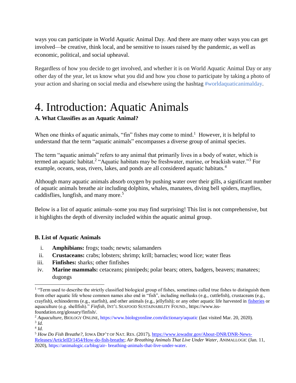ways you can participate in World Aquatic Animal Day. And there are many other ways you can get involved—be creative, think local, and be sensitive to issues raised by the pandemic, as well as economic, political, and social upheaval.

Regardless of how you decide to get involved, and whether it is on World Aquatic Animal Day or any other day of the year, let us know what you did and how you chose to participate by taking a photo of your action and sharing on social media and elsewhere using the hashtag #worldaquaticanimalday.

### <span id="page-6-0"></span>4. Introduction: Aquatic Animals

#### <span id="page-6-1"></span>**A. What Classifies as an Aquatic Animal?**

When one thinks of aquatic animals, "fin" fishes may come to mind.<sup>1</sup> However, it is helpful to understand that the term "aquatic animals" encompasses a diverse group of animal species.

The term "aquatic animals" refers to any animal that primarily lives in a body of water, which is termed an aquatic habitat.<sup>2</sup> "Aquatic habitats may be freshwater, marine, or brackish water."<sup>3</sup> For example, oceans, seas, rivers, lakes, and ponds are all considered aquatic habitats.<sup>4</sup>

Although many aquatic animals absorb oxygen by pushing water over their gills, a significant number of aquatic animals breathe air including dolphins, whales, manatees, diving bell spiders, mayflies, caddisflies, lungfish, and many more. 5

Below is a list of aquatic animals–some you may find surprising! This list is not comprehensive, but it highlights the depth of diversity included within the aquatic animal group.

#### <span id="page-6-2"></span>**B. List of Aquatic Animals**

- i. **Amphibians:** frogs; toads; newts; salamanders
- ii. **Crustaceans:** crabs; lobsters; shrimp; krill; barnacles; wood lice; water fleas
- iii. **Finfishes:** sharks; other finfishes
- iv. **Marine mammals:** cetaceans; pinnipeds; polar bears; otters, badgers, beavers; manatees; dugongs

<sup>&</sup>lt;sup>1</sup> "Term used to describe the strictly classified biological group of fishes, sometimes called true fishes to distinguish them from other aquatic life whose common names also end in "fish", including mollusks (e.g., cuttlefish), crustaceans (e.g., crayfish), echinoderms (e.g., starfish), and other animals (e.g., jellyfish); or any other aquatic life harvested in [fisheries](https://www.iss-foundation.org/glossary/fishery/) or aquaculture (e.g. shellfish)." *Finfish*, INT'L SEAFOOD SUSTAINABILITY FOUND., https://www.issfoundation.org/glossary/finfish/.

<sup>2</sup> *Aquaculture*, BIOLOGY ONLINE, https://www.biologyonline.com/dictionary/aquatic (last visited Mar. 20, 2020).

<sup>3</sup> *Id.* 4 *Id.*

<sup>&</sup>lt;sup>5</sup> *How Do Fish Breathe?*, IOWA DEP'T OF NAT. RES. (2017), [https://www.iowadnr.gov/About-DNR/DNR-News-](https://www.iowadnr.gov/About-DNR/DNR-News-Releases/ArticleID/1454/How-do-fish-breathe)[Releases/ArticleID/1454/How-do-fish-breathe;](https://www.iowadnr.gov/About-DNR/DNR-News-Releases/ArticleID/1454/How-do-fish-breathe) *Air Breathing Animals That Live Under Water*, ANIMALLOGIC (Jan. 11, 2020), https://animalogic.ca/blog/air- breathing-animals-that-live-under-water.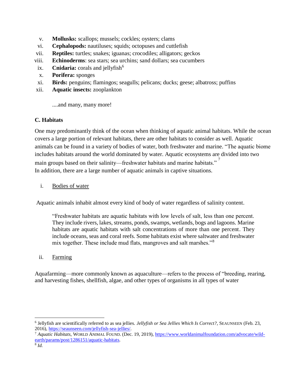- v. **Mollusks:** scallops; mussels; cockles; oysters; clams
- vi. **Cephalopods:** nautiluses; squids; octopuses and cuttlefish
- vii. **Reptiles:** turtles; snakes; iguanas; crocodiles; alligators; geckos
- viii. **Echinoderms**: sea stars; sea urchins; sand dollars; sea cucumbers
- ix. **Cnidaria:** corals and jellyfish<sup>6</sup>
- x. **Porifera:** sponges
- xi. **Birds:** penguins; flamingos; seagulls; pelicans; ducks; geese; albatross; puffins
- xii. **Aquatic insects:** zooplankton

....and many, many more!

#### <span id="page-7-0"></span>**C. Habitats**

One may predominantly think of the ocean when thinking of aquatic animal habitats. While the ocean covers a large portion of relevant habitats, there are other habitats to consider as well. Aquatic animals can be found in a variety of bodies of water, both freshwater and marine. "The aquatic biome includes habitats around the world dominated by water. Aquatic ecosystems are divided into two main groups based on their salinity—freshwater habitats and marine habitats."<sup>7</sup> In addition, there are a large number of aquatic animals in captive situations.

i. Bodies of water

Aquatic animals inhabit almost every kind of body of water regardless of salinity content.

"Freshwater habitats are aquatic habitats with low levels of salt, less than one percent. They include rivers, lakes, streams, ponds, swamps, wetlands, bogs and lagoons. Marine habitats are aquatic habitats with salt concentrations of more than one percent. They include oceans, seas and coral reefs. Some habitats exist where saltwater and freshwater mix together. These include mud flats, mangroves and salt marshes."<sup>8</sup>

#### ii. Farming

Aquafarming—more commonly known as aquaculture—refers to the process of "breeding, rearing, and harvesting fishes, shellfish, algae, and other types of organisms in all types of water

<sup>6</sup> Jellyfish are scientifically referred to as sea jellies. *Jellyfish or Sea Jellies Which Is Correct?*, SEAUNSEEN (Feb. 23, 2016), [https://seaunseen.com/jellyfish-sea-jellies/.](https://seaunseen.com/jellyfish-sea-jellies/)

<sup>7</sup> *Aquatic Habitats*, WORLD ANIMAL FOUND. (Dec. 19, 2019)[, https://www.worldanimalfoundation.com/advocate/wild](https://www.worldanimalfoundation.com/advocate/wild-earth/params/post/1286151/aquatic-habitats)[earth/params/post/1286151/aquatic-habitats.](https://www.worldanimalfoundation.com/advocate/wild-earth/params/post/1286151/aquatic-habitats)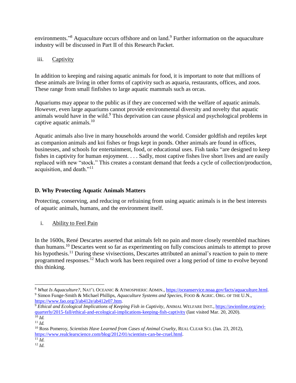environments."<sup>8</sup> Aquaculture occurs offshore and on land.<sup>9</sup> Further information on the aquaculture industry will be discussed in Part II of this Research Packet.

#### iii. Captivity

In addition to keeping and raising aquatic animals for food, it is important to note that millions of these animals are living in other forms of captivity such as aquaria, restaurants, offices, and zoos. These range from small finfishes to large aquatic mammals such as orcas.

Aquariums may appear to the public as if they are concerned with the welfare of aquatic animals. However, even large aquariums cannot provide environmental diversity and novelty that aquatic animals would have in the wild.<sup>9</sup> This deprivation can cause physical and psychological problems in captive aquatic animals. $10$ 

Aquatic animals also live in many households around the world. Consider goldfish and reptiles kept as companion animals and koi fishes or frogs kept in ponds. Other animals are found in offices, businesses, and schools for entertainment, food, or educational uses. Fish tanks "are designed to keep fishes in captivity for human enjoyment. . . . Sadly, most captive fishes live short lives and are easily replaced with new "stock." This creates a constant demand that feeds a cycle of collection/production, acquisition, and death."<sup>11</sup>

#### <span id="page-8-0"></span>**D. Why Protecting Aquatic Animals Matters**

Protecting, conserving, and reducing or refraining from using aquatic animals is in the best interests of aquatic animals, humans, and the environment itself.

i. Ability to Feel Pain

In the 1600s, René Descartes asserted that animals felt no pain and more closely resembled machines than humans.<sup>10</sup> Descartes went so far as experimenting on fully conscious animals to attempt to prove his hypothesis.<sup>11</sup> During these vivisections, Descartes attributed an animal's reaction to pain to mere programmed responses.<sup>12</sup> Much work has been required over a long period of time to evolve beyond this thinking.

<sup>8</sup> *What Is Aquaculture?*, NAT'L OCEANIC & ATMOSPHERIC ADMIN., [https://oceanservice.noaa.gov/facts/aquaculture.html.](https://oceanservice.noaa.gov/facts/aquaculture.html) <sup>9</sup> Simon Funge-Smith & Michael Phillips, *Aquaculture Systems and Species*, FOOD & AGRIC. ORG. OF THE U.N., [https://www.fao.org/3/ab412e/ab412e07.htm.](https://www.fao.org/3/ab412e/ab412e07.htm)

<sup>9</sup> *Ethical and Ecological Implications of Keeping Fish in Captivity*, ANIMAL WELFARE INST., [https://awionline.org/awi](https://awionline.org/awi-quarterly/2015-fall/ethical-and-ecological-implications-keeping-fish-captivity)[quarterly/2015-fall/ethical-and-ecological-implications-keeping-fish-captivity](https://awionline.org/awi-quarterly/2015-fall/ethical-and-ecological-implications-keeping-fish-captivity) (last visited Mar. 20, 2020).  $^{10}$  *Id.* 

<sup>11</sup> *Id.*

<sup>10</sup> Ross Pomeroy, *Scientists Have Learned from Cases of Animal Cruelty*, REAL CLEAR SCI. (Jan. 23, 2012), [https://www.realclearscience.com/blog/2012/01/scientists-can-be-cruel.html.](https://www.realclearscience.com/blog/2012/01/scientists-can-be-cruel.html)

 $\overline{11}$   $\overline{Id}$ .

<sup>12</sup> *Id.*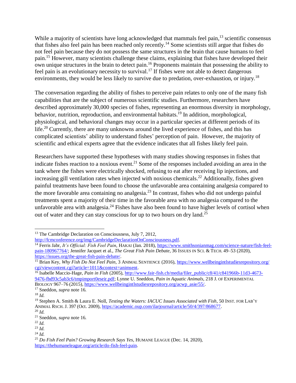While a majority of scientists have long acknowledged that mammals feel pain,<sup>13</sup> scientific consensus that fishes also feel pain has been reached only recently. <sup>14</sup> Some scientists still argue that fishes do not feel pain because they do not possess the same structures in the brain that cause humans to feel pain.<sup>15</sup> However, many scientists challenge these claims, explaining that fishes have developed their own unique structures in the brain to detect pain.<sup>16</sup> Proponents maintain that possessing the ability to feel pain is an evolutionary necessity to survival.<sup>17</sup> If fishes were not able to detect dangerous environments, they would be less likely to survive due to predation, over-exhaustion, or injury.<sup>18</sup>

The conversation regarding the ability of fishes to perceive pain relates to only one of the many fish capabilities that are the subject of numerous scientific studies. Furthermore, researchers have described approximately 30,000 species of fishes, representing an enormous diversity in morphology, behavior, nutrition, reproduction, and environmental habitats.<sup>19</sup> In addition, morphological, physiological, and behavioral changes may occur in a particular species at different periods of its life.<sup>20</sup> Currently, there are many unknowns around the lived experience of fishes, and this has complicated scientists' ability to understand fishes' perception of pain. However, the majority of scientific and ethical experts agree that the evidence indicates that all fishes likely feel pain.

Researchers have supported these hypotheses with many studies showing responses in fishes that indicate fishes reaction to a noxious event.<sup>21</sup> Some of the responses included avoiding an area in the tank where the fishes were electrically shocked, refusing to eat after receiving lip injections, and increasing gill ventilation rates when injected with noxious chemicals.<sup>22</sup> Additionally, fishes given painful treatments have been found to choose the unfavorable area containing analgesia compared to the more favorable area containing no analgesia.<sup>23</sup> In contrast, fishes who did not undergo painful treatments spent a majority of their time in the favorable area with no analgesia compared to the unfavorable area with analgesia.<sup>24</sup> Fishes have also been found to have higher levels of cortisol when out of water and they can stay conscious for up to two hours on dry land.<sup>25</sup>

BIOLOGY 967–76 (2015), [https://www.wellbeingintlstudiesrepository.org/acwp\\_asie/55/.](https://www.wellbeingintlstudiesrepository.org/acwp_asie/55/)

 $\overline{a}$ 

<sup>&</sup>lt;sup>13</sup> The Cambridge Declaration on Consciousness, July 7, 2012,

[http://fcmconference.org/img/CambridgeDeclarationOnConsciousness.pdf.](http://fcmconference.org/img/CambridgeDeclarationOnConsciousness.pdf)

<sup>14</sup> Ferris Jabr, *It's Official: Fish Feel Pain*, HAKAI (Jan. 2018), [https://www.smithsonianmag.com/science-nature/fish-feel](https://www.smithsonianmag.com/science-nature/fish-feel-pain-180967764/)[pain-180967764/;](https://www.smithsonianmag.com/science-nature/fish-feel-pain-180967764/) Jennifer Jacquet et al., *The Great Fish Pain Debate*, 36 ISSUES IN SCI. & TECH. 49–53 (2020), [https://issues.org/the-great-fish-pain-debate/.](https://issues.org/the-great-fish-pain-debate/)

<sup>15</sup> Brian Key, *Why Fish Do Not Feel Pain*, 3 ANIMAL SENTIENCE (2016)[, https://www.wellbeingintlstudiesrepository.org/](https://www.wellbeingintlstudiesrepository.org/cgi/viewcontent.cgi?article=1011&context=animsent)  [cgi/viewcontent.cgi?article=1011&context=animsent.](https://www.wellbeingintlstudiesrepository.org/cgi/viewcontent.cgi?article=1011&context=animsent)

<sup>16</sup> Isabelle Maccio-Hage, *Pain in Fish* (2005)[, http://www.fair-fish.ch/media/filer\\_public/c8/41/c841966b-11d3-4673-](http://www.fair-fish.ch/media/filer_public/c8/41/c841966b-11d3-4673-9476-fbd93c5ab3c6/tmpimport0eseir.pdf) [9476-fbd93c5ab3c6/tmpimport0eseir.pdf;](http://www.fair-fish.ch/media/filer_public/c8/41/c841966b-11d3-4673-9476-fbd93c5ab3c6/tmpimport0eseir.pdf) Lynne U. Sneddon, *Pain in Aquatic Animals*, 218 J. OF EXPERIMENTAL

<sup>17</sup> Sneddon, *supra* note 16.

<sup>18</sup> *Id.*

<sup>19</sup> Stephen A. Smith & Laura E. Noll, *Testing the Waters: IACUC Issues Associated with Fish*, 50 INST. FOR LAB'Y ANIMAL RSCH. J. 397 (Oct. 2009)[, https://academic.oup.com/ilarjournal/article/50/4/397/868677.](https://academic.oup.com/ilarjournal/article/50/4/397/868677)

<sup>20</sup> *Id.*

<sup>21</sup> Sneddon, *supra* note 16.

<sup>22</sup> *Id.*

<sup>23</sup> *Id.*

<sup>24</sup> *Id.*

<sup>25</sup> *Do Fish Feel Pain? Growing Research Says Yes*, HUMANE LEAGUE (Dec. 14, 2020), [https://thehumaneleague.org/article/do-fish-feel-pain.](https://thehumaneleague.org/article/do-fish-feel-pain)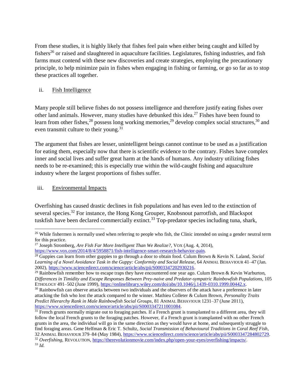From these studies, it is highly likely that fishes feel pain when either being caught and killed by fishers<sup>26</sup> or raised and slaughtered in aquaculture facilities. Legislatures, fishing industries, and fish farms must contend with these new discoveries and create strategies, employing the precautionary principle, to help minimize pain in fishes when engaging in fishing or farming, or go so far as to stop these practices all together.

#### ii. Fish Intelligence

Many people still believe fishes do not possess intelligence and therefore justify eating fishes over other land animals. However, many studies have debunked this idea.<sup>27</sup> Fishes have been found to learn from other fishes,  $28$  possess long working memories,  $29$  develop complex social structures,  $30$  and even transmit culture to their young.<sup>31</sup>

The argument that fishes are lesser, unintelligent beings cannot continue to be used as a justification for eating them, especially now that there is scientific evidence to the contrary. Fishes have complex inner and social lives and suffer great harm at the hands of humans. Any industry utilizing fishes needs to be re-examined; this is especially true within the wild-caught fishing and aquaculture industry where the largest proportions of fishes suffer.

#### iii. Environmental Impacts

Overfishing has caused drastic declines in fish populations and has even led to the extinction of several species.<sup>32</sup> For instance, the Hong Kong Grouper, Knobsnout parrotfish, and Blackspot tuskfish have been declared commercially extinct.<sup>33</sup> Top-predator species including tuna, shark,

 $\overline{a}$ <sup>26</sup> While fishermen is normally used when referring to people who fish, the Clinic intended on using a gender neutral term for this practice.

<sup>27</sup> Joseph Stromberg, *Are Fish Far More Intelligent Than We Realize?*, VOX (Aug. 4, 2014), [https://www.vox.com/2014/8/4/5958871/fish-intelligence-smart-research-behavior-pain.](https://www.vox.com/2014/8/4/5958871/fish-intelligence-smart-research-behavior-pain) 

<sup>28</sup> Guppies can learn from other guppies to go through a door to obtain food. Culum Brown & Kevin N. Laland, *Social Learning of a Novel Avoidance Task in the Guppy: Conformity and Social Release*, 64 ANIMAL BEHAVIOUR 41–47 (Jan. 2002), [https://www.sciencedirect.com/science/article/abs/pii/S0003347202930216.](https://www.sciencedirect.com/science/article/abs/pii/S0003347202930216)

<sup>&</sup>lt;sup>29</sup> Rainbowfish remember how to escape traps they have encountered one year ago. Culum Brown & Kevin Warburton, *Differences in Timidity and Escape Responses Between Prey-naive and Predator-sympatric Rainbowfish Populations*, 105 ETHOLOGY 491–502 (June 1999), [https://onlinelibrary.wiley.com/doi/abs/10.1046/j.1439-0310.1999.00442.x.](https://onlinelibrary.wiley.com/doi/abs/10.1046/j.1439-0310.1999.00442.x)

<sup>&</sup>lt;sup>30</sup> Rainbowfish can observe attacks between two individuals and the observers of the attack have a preference in later attacking the fish who lost the attack compared to the winner. Mathieu Colleter & Culum Brown, *Personality Traits Predict Hierarchy Rank in Male Rainbowfish Social Groups*, 81 ANIMAL BEHAVIOUR 1231–37 (June 2011), [https://www.sciencedirect.com/science/article/abs/pii/S0003347211001084.](https://www.sciencedirect.com/science/article/abs/pii/S0003347211001084)

 $31$  French grunts normally migrate out to foraging patches. If a French grunt is transplanted to a different area, they will follow the local French grunts to the foraging patches. However, if a French grunt is transplanted with no other French grunts in the area, the individual will go in the same direction as they would have at home, and subsequently struggle to find foraging areas. Gene Helfman & Eric T. Schultz, *Social Transmission of Behavioural Traditions in Coral Reef Fish*, 32 ANIMAL BEHAVIOUR 379–84 (May 1984), [https://www.sciencedirect.com/science/article/abs/pii/S0003347284802729.](https://www.sciencedirect.com/science/article/abs/pii/S0003347284802729) <sup>32</sup> *Overfishing*, REVOLUTION, [https://therevolutionmovie.com/index.php/open-your-eyes/overfishing/impacts/.](https://therevolutionmovie.com/index.php/open-your-eyes/overfishing/impacts/) <sup>33</sup> *Id.*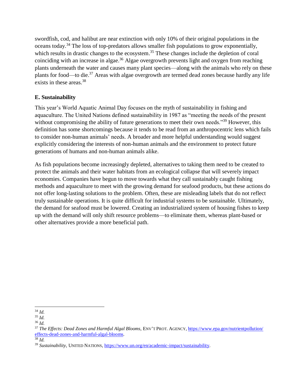swordfish, cod, and halibut are near extinction with only 10% of their original populations in the oceans today.<sup>34</sup> The loss of top-predators allows smaller fish populations to grow exponentially, which results in drastic changes to the ecosystem.<sup>35</sup> These changes include the depletion of coral coinciding with an increase in algae.<sup>36</sup> Algae overgrowth prevents light and oxygen from reaching plants underneath the water and causes many plant species—along with the animals who rely on these plants for food—to die.<sup>37</sup> Areas with algae overgrowth are termed dead zones because hardly any life exists in these areas.<sup>38</sup>

#### <span id="page-11-0"></span>**E. Sustainability**

This year's World Aquatic Animal Day focuses on the myth of sustainability in fishing and aquaculture. The United Nations defined sustainability in 1987 as "meeting the needs of the present without compromising the ability of future generations to meet their own needs."<sup>39</sup> However, this definition has some shortcomings because it tends to be read from an anthropocentric lens which fails to consider non-human animals' needs. A broader and more helpful understanding would suggest explicitly considering the interests of non-human animals and the environment to protect future generations of humans and non-human animals alike.

As fish populations become increasingly depleted, alternatives to taking them need to be created to protect the animals and their water habitats from an ecological collapse that will severely impact economies. Companies have begun to move towards what they call sustainably caught fishing methods and aquaculture to meet with the growing demand for seafood products, but these actions do not offer long-lasting solutions to the problem. Often, these are misleading labels that do not reflect truly sustainable operations. It is quite difficult for industrial systems to be sustainable. Ultimately, the demand for seafood must be lowered. Creating an industrialized system of housing fishes to keep up with the demand will only shift resource problems—to eliminate them, whereas plant-based or other alternatives provide a more beneficial path.

<sup>38</sup> *Id.*

 $\overline{a}$ <sup>34</sup> *Id.*

<sup>35</sup> *Id.*

<sup>36</sup> *Id.*

<sup>37</sup> *The Effects: Dead Zones and Harmful Algal Blooms*, ENV'T PROT. AGENCY, [https://www.epa.gov/nutrientpollution/](https://www.epa.gov/nutrientpollution/effects-dead-zones-and-harmful-algal-blooms)  [effects-dead-zones-and-harmful-algal-blooms.](https://www.epa.gov/nutrientpollution/effects-dead-zones-and-harmful-algal-blooms) 

<sup>39</sup> *Sustainability*, UNITED NATIONS, [https://www.un.org/en/academic-impact/sustainability.](https://www.un.org/en/academic-impact/sustainability)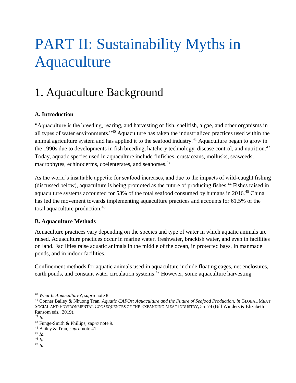## <span id="page-12-0"></span>PART II: Sustainability Myths in Aquaculture

### <span id="page-12-1"></span>1. Aquaculture Background

#### <span id="page-12-2"></span>**A. Introduction**

"Aquaculture is the breeding, rearing, and harvesting of fish, shellfish, algae, and other organisms in all types of water environments."<sup>40</sup> Aquaculture has taken the industrialized practices used within the animal agriculture system and has applied it to the seafood industry.<sup>41</sup> Aquaculture began to grow in the 1990s due to developments in fish breeding, hatchery technology, disease control, and nutrition.<sup>42</sup> Today, aquatic species used in aquaculture include finfishes, crustaceans, mollusks, seaweeds, macrophytes, echinoderms, coelenterates, and seahorses.<sup>43</sup>

As the world's insatiable appetite for seafood increases, and due to the impacts of wild-caught fishing (discussed below), aquaculture is being promoted as the future of producing fishes. <sup>44</sup> Fishes raised in aquaculture systems accounted for 53% of the total seafood consumed by humans in 2016.<sup>45</sup> China has led the movement towards implementing aquaculture practices and accounts for 61.5% of the total aquaculture production.<sup>46</sup>

#### <span id="page-12-3"></span>**B. Aquaculture Methods**

Aquaculture practices vary depending on the species and type of water in which aquatic animals are raised. Aquaculture practices occur in marine water, freshwater, brackish water, and even in facilities on land. Facilities raise aquatic animals in the middle of the ocean, in protected bays, in manmade ponds, and in indoor facilities.

Confinement methods for aquatic animals used in aquaculture include floating cages, net enclosures, earth ponds, and constant water circulation systems.<sup>47</sup> However, some aquaculture harvesting

<sup>40</sup> *What Is Aquaculture?*, *supra* note 8.

<sup>41</sup> Conner Bailey & Nhuong Tran, *Aquatic CAFOs: Aquaculture and the Future of Seafood Production*, *in* GLOBAL MEAT SOCIAL AND ENVIRONMENTAL CONSEQUENCES OF THE EXPANDING MEAT INDUSTRY, 55–74 (Bill Winders & Elizabeth Ransom eds., 2019).

<sup>42</sup> *Id.*

<sup>43</sup> Funge-Smith & Phillips, *supra* note 9.

<sup>44</sup> Bailey & Tran, *supra* note 41.

<sup>45</sup> *Id.*

<sup>46</sup> *Id.*

<sup>47</sup> *Id.*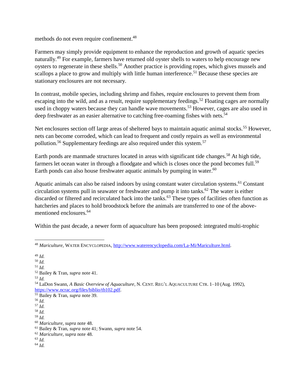methods do not even require confinement.<sup>48</sup>

Farmers may simply provide equipment to enhance the reproduction and growth of aquatic species naturally.<sup>49</sup> For example, farmers have returned old oyster shells to waters to help encourage new oysters to regenerate in these shells.<sup>50</sup> Another practice is providing ropes, which gives mussels and scallops a place to grow and multiply with little human interference.<sup>51</sup> Because these species are stationary enclosures are not necessary.

In contrast, mobile species, including shrimp and fishes, require enclosures to prevent them from escaping into the wild, and as a result, require supplementary feedings.<sup>52</sup> Floating cages are normally used in choppy waters because they can handle wave movements.<sup>53</sup> However, cages are also used in deep freshwater as an easier alternative to catching free-roaming fishes with nets.<sup>54</sup>

Net enclosures section off large areas of sheltered bays to maintain aquatic animal stocks.<sup>55</sup> However, nets can become corroded, which can lead to frequent and costly repairs as well as environmental pollution.<sup>56</sup> Supplementary feedings are also required under this system.<sup>57</sup>

Earth ponds are manmade structures located in areas with significant tide changes.<sup>58</sup> At high tide, farmers let ocean water in through a floodgate and which is closes once the pond becomes full.<sup>59</sup> Earth ponds can also house freshwater aquatic animals by pumping in water.<sup>60</sup>

Aquatic animals can also be raised indoors by using constant water circulation systems.<sup>61</sup> Constant circulation systems pull in seawater or freshwater and pump it into tanks.<sup>62</sup> The water is either discarded or filtered and recirculated back into the tanks.<sup>63</sup> These types of facilities often function as hatcheries and places to hold broodstock before the animals are transferred to one of the abovementioned enclosures.<sup>64</sup>

Within the past decade, a newer form of aquaculture has been proposed: integrated multi-trophic

- <sup>51</sup> *Id.*
- <sup>52</sup> Bailey & Tran, *supra* note 41.
- <sup>53</sup> *Id.*
- <sup>54</sup> LaDon Swann, *A Basic Overview of Aquaculture*, N. CENT. REG'L AQUACULTURE CTR. 1–10 (Aug. 1992), [https://www.ncrac.org/files/biblio/tb102.pdf.](https://www.ncrac.org/files/biblio/tb102.pdf)
- <sup>55</sup> Bailey & Tran, *supra* note 39.
- <sup>56</sup> *Id.*
- <sup>57</sup> *Id.*
- <sup>58</sup> *Id.*
- <sup>59</sup> *Id.*
- <sup>60</sup> *Mariculture*, *supra* note 48.
- <sup>61</sup> Bailey & Tran, *supra* note 41; Swann, *supra* note 54.
- <sup>62</sup> *Mariculture*, *supra* note 48.
- <sup>63</sup> *Id.*  <sup>64</sup> *Id.*

 $\overline{a}$ <sup>48</sup> *Mariculture*, WATER ENCYCLOPEDIA, [http://www.waterencyclopedia.com/La-Mi/Mariculture.html.](http://www.waterencyclopedia.com/La-Mi/Mariculture.html)

<sup>49</sup> *Id.* <sup>50</sup> *Id.*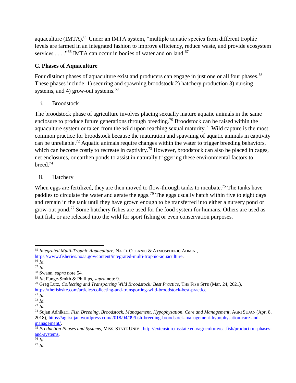aquaculture (IMTA).<sup>65</sup> Under an IMTA system, "multiple aquatic species from different trophic levels are farmed in an integrated fashion to improve efficiency, reduce waste, and provide ecosystem services . . . ."<sup>66</sup> IMTA can occur in bodies of water and on land.<sup>67</sup>

#### <span id="page-14-0"></span>**C. Phases of Aquaculture**

Four distinct phases of aquaculture exist and producers can engage in just one or all four phases.<sup>68</sup> These phases include: 1) securing and spawning broodstock 2) hatchery production 3) nursing systems, and 4) grow-out systems. $69$ 

#### i. Broodstock

The broodstock phase of agriculture involves placing sexually mature aquatic animals in the same enclosure to produce future generations through breeding.<sup>70</sup> Broodstock can be raised within the aquaculture system or taken from the wild upon reaching sexual maturity.<sup>71</sup> Wild capture is the most common practice for broodstock because the maturation and spawning of aquatic animals in captivity can be unreliable.<sup>72</sup> Aquatic animals require changes within the water to trigger breeding behaviors, which can become costly to recreate in captivity.<sup>73</sup> However, broodstock can also be placed in cages, net enclosures, or earthen ponds to assist in naturally triggering these environmental factors to breed.<sup>74</sup>

#### ii. Hatchery

When eggs are fertilized, they are then moved to flow-through tanks to incubate.<sup>75</sup> The tanks have paddles to circulate the water and aerate the eggs.<sup>76</sup> The eggs usually hatch within five to eight days and remain in the tank until they have grown enough to be transferred into either a nursery pond or grow-out pond.<sup>77</sup> Some hatchery fishes are used for the food system for humans. Others are used as bait fish, or are released into the wild for sport fishing or even conservation purposes.

 $\overline{76}$  *Id.* 

<sup>77</sup> *Id.*

 $\overline{a}$ <sup>65</sup> *Integrated Multi-Trophic Aquaculture*, NAT'L OCEANIC & ATMOSPHERIC ADMIN., [https://www.fisheries.noaa.gov/content/integrated-multi-trophic-aquaculture.](https://www.fisheries.noaa.gov/content/integrated-multi-trophic-aquaculture)

<sup>66</sup> *Id.*

<sup>67</sup> *Id.*

<sup>68</sup> Swann, *supra* note 54.

<sup>69</sup> *Id*; Funge-Smith & Phillips, *supra* note 9.

<sup>70</sup> Greg Lutz, *Collecting and Transporting Wild Broodstock: Best Practice*, THE FISH SITE (Mar. 24, 2021), [https://thefishsite.com/articles/collecting-and-transporting-wild-broodstock-best-practice.](https://thefishsite.com/articles/collecting-and-transporting-wild-broodstock-best-practice)

<sup>71</sup> *Id.*

<sup>72</sup> *Id.*

<sup>73</sup> *Id.*

<sup>74</sup> Sujan Adhikari, *Fish Breeding, Broodstock, Management, Hypophysation, Care and Management*, AGRI SUJAN (Apr. 8, 2018), [https://agrisujan.wordpress.com/2018/04/09/fish-breeding-broodstock-management-hypophysation-care-and](https://agrisujan.wordpress.com/2018/04/09/fish-breeding-broodstock-management-hypophysation-care-and-management/)[management/.](https://agrisujan.wordpress.com/2018/04/09/fish-breeding-broodstock-management-hypophysation-care-and-management/)

<sup>75</sup> *Production Phases and Systems*, MISS. STATE UNIV.[, http://extension.msstate.edu/agriculture/catfish/production-phases](http://extension.msstate.edu/agriculture/catfish/production-phases-and-systems)[and-systems.](http://extension.msstate.edu/agriculture/catfish/production-phases-and-systems)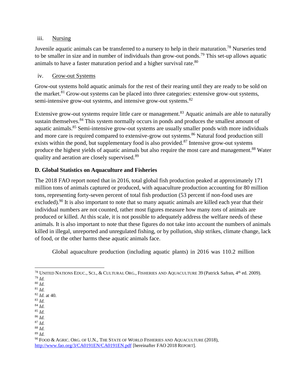#### iii. Nursing

Juvenile aquatic animals can be transferred to a nursery to help in their maturation.<sup>78</sup> Nurseries tend to be smaller in size and in number of individuals than grow-out ponds.<sup>79</sup> This set-up allows aquatic animals to have a faster maturation period and a higher survival rate.<sup>80</sup>

#### iv. Grow-out Systems

Grow-out systems hold aquatic animals for the rest of their rearing until they are ready to be sold on the market.<sup>81</sup> Grow-out systems can be placed into three categories: extensive grow-out systems, semi-intensive grow-out systems, and intensive grow-out systems.<sup>82</sup>

Extensive grow-out systems require little care or management.<sup>83</sup> Aquatic animals are able to naturally sustain themselves.<sup>84</sup> This system normally occurs in ponds and produces the smallest amount of aquatic animals.<sup>85</sup> Semi-intensive grow-out systems are usually smaller ponds with more individuals and more care is required compared to extensive-grow out systems.<sup>86</sup> Natural food production still exists within the pond, but supplementary food is also provided.<sup>87</sup> Intensive grow-out systems produce the highest yields of aquatic animals but also require the most care and management.<sup>88</sup> Water quality and aeration are closely supervised.<sup>89</sup>

#### <span id="page-15-0"></span>**D. Global Statistics on Aquaculture and Fisheries**

The 2018 FAO report noted that in 2016, total global fish production peaked at approximately 171 million tons of animals captured or produced, with aquaculture production accounting for 80 million tons, representing forty-seven percent of total fish production (53 percent if non-food uses are excluded).<sup>90</sup> It is also important to note that so many aquatic animals are killed each year that their individual numbers are not counted, rather most figures measure how many *tons* of animals are produced or killed. At this scale, it is not possible to adequately address the welfare needs of these animals. It is also important to note that these figures do not take into account the numbers of animals killed in illegal, unreported and unregulated fishing, or by pollution, ship strikes, climate change, lack of food, or the other harms these aquatic animals face.

Global aquaculture production (including aquatic plants) in 2016 was 110.2 million

<sup>79</sup> *Id.*

- <sup>83</sup> *Id.*
- <sup>84</sup> *Id.*
- <sup>85</sup> *Id.*
- <sup>86</sup> *Id.*
- <sup>87</sup> *Id.*
- <sup>88</sup> *Id.*

<sup>89</sup> *Id.*

 $\overline{a}$  $^{78}$  United Nations Educ., Sci., & Cultural Org., Fisheries and Aquaculture 39 (Patrick Safran, 4<sup>th</sup> ed. 2009).

<sup>80</sup> *Id.* <sup>81</sup> *Id.*

<sup>82</sup> *Id.* at 40.

 $^{90}$  FOOD & AGRIC. ORG. OF U.N., THE STATE OF WORLD FISHERIES AND AQUACULTURE (2018), <http://www.fao.org/3/CA0191EN/CA0191EN.pdf> [hereinafter FAO 2018 REPORT].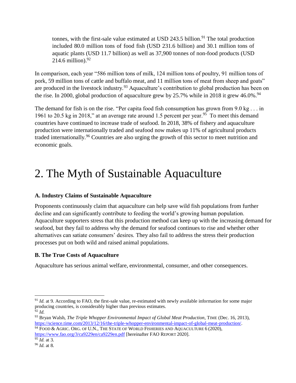tonnes, with the first-sale value estimated at USD 243.5 billion.<sup>91</sup> The total production included 80.0 million tons of food fish (USD 231.6 billion) and 30.1 million tons of aquatic plants (USD 11.7 billion) as well as 37,900 tonnes of non-food products (USD 214.6 million). $92$ 

In comparison, each year "586 million tons of milk, 124 million tons of poultry, 91 million tons of pork, 59 million tons of cattle and buffalo meat, and 11 million tons of meat from sheep and goats" are produced in the livestock industry.<sup>93</sup> Aquaculture's contribution to global production has been on the rise. In 2000, global production of aquaculture grew by 25.7% while in 2018 it grew 46.0%.<sup>94</sup>

The demand for fish is on the rise. "Per capita food fish consumption has grown from  $9.0 \text{ kg} \dots$  in 1961 to 20.5 kg in 2018," at an average rate around 1.5 percent per year.<sup>95</sup> To meet this demand countries have continued to increase trade of seafood. In 2018, 38% of fishery and aquaculture production were internationally traded and seafood now makes up 11% of agricultural products traded internationally.<sup>96</sup> Countries are also urging the growth of this sector to meet nutrition and economic goals.

### <span id="page-16-0"></span>2. The Myth of Sustainable Aquaculture

#### <span id="page-16-1"></span>**A. Industry Claims of Sustainable Aquaculture**

Proponents continuously claim that aquaculture can help save wild fish populations from further decline and can significantly contribute to feeding the world's growing human population. Aquaculture supporters stress that this production method can keep up with the increasing demand for seafood, but they fail to address why the demand for seafood continues to rise and whether other alternatives can satiate consumers' desires. They also fail to address the stress their production processes put on both wild and raised animal populations.

#### <span id="page-16-2"></span>**B. The True Costs of Aquaculture**

Aquaculture has serious animal welfare, environmental, consumer, and other consequences.

 $\overline{a}$ 

<sup>&</sup>lt;sup>91</sup> *Id.* at 9. According to FAO, the first-sale value, re-estimated with newly available information for some major producing countries, is considerably higher than previous estimates. <sup>92</sup> *Id.*

<sup>93</sup> Bryan Walsh, *The Triple Whopper Environmental Impact of Global Meat Production*, TIME (Dec. 16, 2013), [https://science.time.com/2013/12/16/the-triple-whopper-environmental-impact-of-global-meat-production/.](https://science.time.com/2013/12/16/the-triple-whopper-environmental-impact-of-global-meat-production/)

<sup>&</sup>lt;sup>94</sup> FOOD & AGRIC. ORG. OF U.N., THE STATE OF WORLD FISHERIES AND AQUACULTURE 6 (2020), <https://www.fao.org/3/ca9229en/ca9229en.pdf> [hereinafter FAO REPORT 2020].

 $\overline{\frac{95}{1}}$ *Id.* at 3.

<sup>96</sup> *Id.* at 8.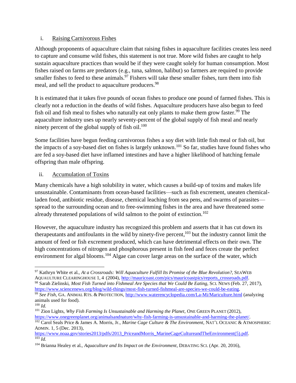#### i. Raising Carnivorous Fishes

Although proponents of aquaculture claim that raising fishes in aquaculture facilities creates less need to capture and consume wild fishes, this statement is not true. More wild fishes are caught to help sustain aquaculture practices than would be if they were caught solely for human consumption. Most fishes raised on farms are predators (e.g., tuna, salmon, halibut) so farmers are required to provide smaller fishes to feed to these animals.<sup>97</sup> Fishers will take these smaller fishes, turn them into fish meal, and sell the product to aquaculture producers.<sup>98</sup>

It is estimated that it takes five pounds of ocean fishes to produce one pound of farmed fishes. This is clearly not a reduction in the deaths of wild fishes. Aquaculture producers have also begun to feed fish oil and fish meal to fishes who naturally eat only plants to make them grow faster.<sup>99</sup> The aquaculture industry uses up nearly seventy-percent of the global supply of fish meal and nearly ninety percent of the global supply of fish oil. $100$ 

Some facilities have begun feeding carnivorous fishes a soy diet with little fish meal or fish oil, but the impacts of a soy-based diet on fishes is largely unknown.<sup>101</sup> So far, studies have found fishes who are fed a soy-based diet have inflamed intestines and have a higher likelihood of hatching female offspring than male offspring.

#### ii. Accumulation of Toxins

Many chemicals have a high solubility in water, which causes a build-up of toxins and makes life unsustainable. Contaminants from ocean-based facilities—such as fish excrement, uneaten chemicalladen food, antibiotic residue, disease, chemical leaching from sea pens, and swarms of parasites spread to the surrounding ocean and to free-swimming fishes in the area and have threatened some already threatened populations of wild salmon to the point of extinction.<sup>102</sup>

However, the aquaculture industry has recognized this problem and asserts that it has cut down its therapeutants and antifoulants in the wild by ninety-five percent, <sup>103</sup> but the industry cannot limit the amount of feed or fish excrement produced, which can have detrimental effects on their own. The high concentrations of nitrogen and phosphorous present in fish feed and feces create the perfect environment for algal blooms.<sup>104</sup> Algae can cover large areas on the surface of the water, which

l <sup>97</sup> Kathryn White et al., *At a Crossroads: Will Aquaculture Fulfill Its Promise of the Blue Revolution?*, SEAWEB AQUAULTURE CLEARINGHOUSE 1, 4 (2004)[, http://mauricoast.com/pics/mauricoastpics/reports\\_crossroads.pdf.](http://mauricoast.com/pics/mauricoastpics/reports_crossroads.pdf)  <sup>98</sup> Sarah Zielinski, *Most Fish Turned into Fishmeal Are Species that We Could Be Eating*, SCI. NEWS (Feb. 27, 2017),

[https://www.sciencenews.org/blog/wild-things/most-fish-turned-fishmeal-are-species-we-could-be-eating.](https://www.sciencenews.org/blog/wild-things/most-fish-turned-fishmeal-are-species-we-could-be-eating)

<sup>99</sup> *See Fish*, GA. ANIMAL RTS. & PROTECTION,<http://www.waterencyclopedia.com/La-Mi/Mariculture.html> (analyzing animals used for food).

<sup>100</sup> *Id.*

<sup>101</sup> Zion Lights, *Why Fish Farming Is Unsustainable and Harming the Planet*, ONE GREEN PLANET (2012), [https://www.onegreenplanet.org/animalsandnature/why-fish-farming-is-unsustainable-and-harming-the-planet/.](https://www.onegreenplanet.org/animalsandnature/why-fish-farming-is-unsustainable-and-harming-the-planet/)

<sup>102</sup> Carol Seals Price & James A. Morris, Jr., *Marine Cage Culture & The Environment*, NAT'L OCEANIC & ATMOSPHERIC ADMIN. 1, 5 (Dec. 2013),

[https://www.noaa.gov/stories2013/pdfs/2013\\_PriceandMorris\\_MarineCageCultureandTheEnvironment\(5\).pdf.](https://www.noaa.gov/stories2013/pdfs/2013_PriceandMorris_MarineCageCultureandTheEnvironment(5).pdf)  $\overline{\frac{103}{Id}}$ .

<sup>104</sup> Brianna Healey et al., *Aquaculture and Its Impact on the Environment*, DEBATING SCI. (Apr. 20, 2016),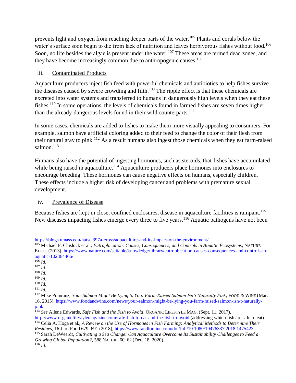prevents light and oxygen from reaching deeper parts of the water.<sup>105</sup> Plants and corals below the water's surface soon begin to die from lack of nutrition and leaves herbivorous fishes without food.<sup>106</sup> Soon, no life besides the algae is present under the water.<sup>107</sup> These areas are termed dead zones, and they have become increasingly common due to anthropogenic causes.<sup>108</sup>

#### iii. Contaminated Products

Aquaculture producers inject fish feed with powerful chemicals and antibiotics to help fishes survive the diseases caused by severe crowding and filth.<sup>109</sup> The ripple effect is that these chemicals are excreted into water systems and transferred to humans in dangerously high levels when they eat these fishes.<sup>110</sup> In some operations, the levels of chemicals found in farmed fishes are seven times higher than the already-dangerous levels found in their wild counterparts.<sup>111</sup>

In some cases, chemicals are added to fishes to make them more visually appealing to consumers. For example, salmon have artificial coloring added to their feed to change the color of their flesh from their natural gray to pink.<sup>112</sup> As a result humans also ingest those chemicals when they eat farm-raised salmon. $^{113}$ 

Humans also have the potential of ingesting hormones, such as steroids, that fishes have accumulated while being raised in aquaculture.<sup>114</sup> Aquaculture producers place hormones into enclosures to encourage breeding. These hormones can cause negative effects on humans, especially children. These effects include a higher risk of developing cancer and problems with premature sexual development.

#### iv. Prevalence of Disease

Because fishes are kept in close, confined enclosures, disease in aquaculture facilities is rampant.<sup>115</sup> New diseases impacting fishes emerge every three to five years.<sup>116</sup> Aquatic pathogens have not been

l

<sup>107</sup> *Id.* <sup>108</sup> *Id.*

[https://blogs.umass.edu/natsci397a-eross/aquaculture-and-its-impact-on-the-environment/.](https://blogs.umass.edu/natsci397a-eross/aquaculture-and-its-impact-on-the-environment/)

<sup>105</sup> Michael F. Chislock et al., *Eutrophication: Causes, Consequences, and Controls in Aquatic Ecosystems*, NATURE EDUC. (2013)[, https://www.nature.com/scitable/knowledge/library/eutrophication-causes-consequences-and-controls-in](https://www.nature.com/scitable/knowledge/library/eutrophication-causes-consequences-and-controls-in-aquatic-102364466/)[aquatic-102364466/.](https://www.nature.com/scitable/knowledge/library/eutrophication-causes-consequences-and-controls-in-aquatic-102364466/)

<sup>106</sup> *Id.*

<sup>109</sup> *Id.*

<sup>110</sup> *Id.*

<sup>111</sup> *Id.*

<sup>&</sup>lt;sup>112</sup> Mike Pomranz, *Your Salmon Might Be Lying to You: Farm-Raised Salmon Isn't Naturally Pink*, FOOD & WINE (Mar. 16, 2015), [https://www.foodandwine.com/news/your-salmon-might-be-lying-you-farm-raised-salmon-isn-t-naturally](https://www.foodandwine.com/news/your-salmon-might-be-lying-you-farm-raised-salmon-isn-t-naturally-pink)[pink.](https://www.foodandwine.com/news/your-salmon-might-be-lying-you-farm-raised-salmon-isn-t-naturally-pink)

<sup>113</sup> *See* Allene Edwards, *Safe Fish and the Fish to Avoid*, ORGANIC LIFESTYLE MAG. (Sept. 11, 2017),

<http://www.organiclifestylemagazine.com/safe-fish-to-eat-and-the-fish-to-avoid> (addressing which fish are safe to eat). <sup>114</sup> Celia A. Hoga et al., *A Review on the Use of Hormones in Fish Farming: Analytical Methods to Determine Their* 

*Residues*, 16 J. of Food 679–691 (2018), [https://www.tandfonline.com/doi/full/10.1080/19476337.2018.1475423.](https://www.tandfonline.com/doi/full/10.1080/19476337.2018.1475423) <sup>115</sup> Sarah DeWeerdt, *Cultivating a Sea Change: Can Aquaculture Overcome Its Sustainability Challenges to Feed a* 

*Growing Global Population?*, 588 NATURE 60–62 (Dec. 18, 2020). <sup>116</sup> *Id.*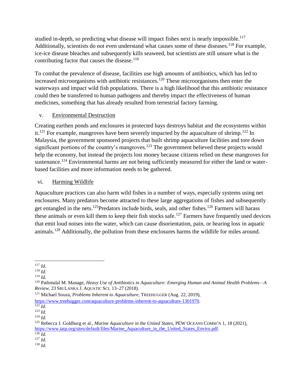studied in-depth, so predicting what disease will impact fishes next is nearly impossible.<sup>117</sup> Additionally, scientists do not even understand what causes some of these diseases.<sup>118</sup> For example, ice-ice disease bleaches and subsequently kills seaweed, but scientists are still unsure what is the contributing factor that causes the disease. $119$ 

To combat the prevalence of disease, facilities use high amounts of antibiotics, which has led to increased microorganisms with antibiotic resistances.<sup>120</sup> These microorganisms then enter the waterways and impact wild fish populations. There is a high likelihood that this antibiotic resistance could then be transferred to human pathogens and thereby impact the effectiveness of human medicines, something that has already resulted from terrestrial factory farming.

#### v. Environmental Destruction

Creating earthen ponds and enclosures in protected bays destroys habitat and the ecosystems within it.<sup>121</sup> For example, mangroves have been severely impacted by the aquaculture of shrimp.<sup>122</sup> In Malaysia, the government sponsored projects that built shrimp aquaculture facilities and tore down significant portions of the country's mangroves.<sup>123</sup> The government believed these projects would help the economy, but instead the projects lost money because citizens relied on these mangroves for sustenance.<sup>124</sup> Environmental harms are not being sufficiently measured for either the land or waterbased facilities and more information needs to be gathered.

#### vi. Harming Wildlife

Aquaculture practices can also harm wild fishes in a number of ways, especially systems using net enclosures. Many predators become attracted to these large aggregations of fishes and subsequently get entangled in the nets.<sup>125</sup>Predators include birds, seals, and other fishes.<sup>126</sup> Farmers will harass these animals or even kill them to keep their fish stocks safe.<sup>127</sup> Farmers have frequently used devices that emit loud noises into the water, which can cause disorientation, pain, or hearing loss in aquatic animals.<sup>128</sup> Additionally, the pollution from these enclosures harms the wildlife for miles around.

 $\overline{a}$ <sup>117</sup> *Id.*

<sup>118</sup> *Id.*

<sup>119</sup> *Id.*

<sup>120</sup> Pathmalal M. Manage, *Heavy Use of Antibiotics in Aquaculture: Emerging Human and Animal Health Problems—A Review*, 23SRI LANKA J. AQUATIC SCI. 13–27 (2018).

<sup>121</sup> Michael Souza, *Problems Inherent to Aquaculture*, TREEHUGGER (Aug. 22, 2019), [https://www.treehugger.com/aquaculture-problems-inherent-to-aquaculture-1301970.](https://www.treehugger.com/aquaculture-problems-inherent-to-aquaculture-1301970)

 $\overline{\overline{122}}$ *Id.* 

<sup>123</sup> *Id.*

<sup>124</sup> *Id.*

<sup>125</sup> Rebecca J. Goldburg et al., *Marine Aquaculture in the United States*, PEW OCEANS COMM'N 1, 18 (2021), [https://www.iatp.org/sites/default/files/Marine\\_Aquaculture\\_in\\_the\\_United\\_States\\_Enviro.pdf.](https://www.iatp.org/sites/default/files/Marine_Aquaculture_in_the_United_States_Enviro.pdf)  $^{126}$  *Id.* 

<sup>127</sup> *Id.*

<sup>128</sup> *Id.*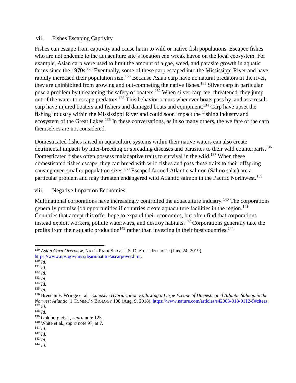#### vii. Fishes Escaping Captivity

Fishes can escape from captivity and cause harm to wild or native fish populations. Escapee fishes who are not endemic to the aquaculture site's location can wreak havoc on the local ecosystem. For example, Asian carp were used to limit the amount of algae, weed, and parasite growth in aquatic farms since the 1970s.<sup>129</sup> Eventually, some of these carp escaped into the Mississippi River and have rapidly increased their population size.<sup>130</sup> Because Asian carp have no natural predators in the river, they are uninhibited from growing and out-competing the native fishes.<sup>131</sup> Silver carp in particular pose a problem by threatening the safety of boaters.<sup>132</sup> When silver carp feel threatened, they jump out of the water to escape predators.<sup>133</sup> This behavior occurs whenever boats pass by, and as a result, carp have injured boaters and fishers and damaged boats and equipment.<sup>134</sup> Carp have upset the fishing industry within the Mississippi River and could soon impact the fishing industry and ecosystem of the Great Lakes.<sup>135</sup> In these conversations, as in so many others, the welfare of the carp themselves are not considered.

Domesticated fishes raised in aquaculture systems within their native waters can also create detrimental impacts by inter-breeding or spreading diseases and parasites to their wild counterparts.<sup>136</sup> Domesticated fishes often possess maladaptive traits to survival in the wild.<sup>137</sup> When these domesticated fishes escape, they can breed with wild fishes and pass these traits to their offspring causing even smaller population sizes.<sup>138</sup> Escaped farmed Atlantic salmon (Salmo salar) are a particular problem and may threaten endangered wild Atlantic salmon in the Pacific Northwest.<sup>139</sup>

#### viii. Negative Impact on Economies

Multinational corporations have increasingly controlled the aquaculture industry.<sup>140</sup> The corporations generally promise job opportunities if countries create aquaculture facilities in the region.<sup>141</sup> Countries that accept this offer hope to expand their economies, but often find that corporations instead exploit workers, pollute waterways, and destroy habitats.<sup>142</sup> Corporations generally take the profits from their aquatic production<sup>143</sup> rather than investing in their host countries.<sup>144</sup>

 $\overline{a}$ <sup>129</sup> *Asian Carp Overview*, NAT'L PARK SERV. U.S. DEP'T OF INTERIOR (June 24, 2019), [https://www.nps.gov/miss/learn/nature/ascarpover.htm.](https://www.nps.gov/miss/learn/nature/ascarpover.htm)

 $130$  *Id.* 

<sup>131</sup> *Id.*

<sup>132</sup> *Id.*  $133$  *Id.* 

<sup>134</sup> *Id.*

<sup>135</sup> *Id.*

<sup>136</sup> Brendan F. Wringe et al., *Extensive Hybridization Following a Large Escape of Domesticated Atlantic Salmon in the Norwest Atlantic*, 1 COMMC'N BIOLOGY 108 (Aug. 9, 2018), [https://www.nature.com/articles/s42003-018-0112-9#citeas.](https://www.nature.com/articles/s42003-018-0112-9#citeas) <sup>137</sup> *Id.*

<sup>138</sup> *Id.*

<sup>139</sup> Goldburg et al., *supra* note 125.

<sup>140</sup> White et al., *supra* note 97, at 7.

<sup>141</sup> *Id.*

<sup>142</sup> *Id.*

<sup>143</sup> *Id.* <sup>144</sup> *Id.*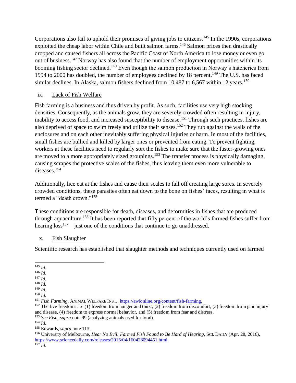Corporations also fail to uphold their promises of giving jobs to citizens.<sup>145</sup> In the 1990s, corporations exploited the cheap labor within Chile and built salmon farms.<sup>146</sup> Salmon prices then drastically dropped and caused fishers all across the Pacific Coast of North America to lose money or even go out of business.<sup>147</sup> Norway has also found that the number of employment opportunities within its booming fishing sector declined.<sup>148</sup> Even though the salmon production in Norway's hatcheries from 1994 to 2000 has doubled, the number of employees declined by 18 percent.<sup>149</sup> The U.S. has faced similar declines. In Alaska, salmon fishers declined from 10,487 to 6,567 within 12 years.<sup>150</sup>

#### ix. Lack of Fish Welfare

Fish farming is a business and thus driven by profit. As such, facilities use very high stocking densities. Consequently, as the animals grow, they are severely crowded often resulting in injury, inability to access food, and increased susceptibility to disease.<sup>151</sup> Through such practices, fishes are also deprived of space to swim freely and utilize their senses.<sup>152</sup> They rub against the walls of the enclosures and on each other inevitably suffering physical injuries or harm. In most of the facilities, small fishes are bullied and killed by larger ones or prevented from eating. To prevent fighting, workers at these facilities need to regularly sort the fishes to make sure that the faster-growing ones are moved to a more appropriately sized groupings.<sup>153</sup> The transfer process is physically damaging, causing scrapes the protective scales of the fishes, thus leaving them even more vulnerable to diseases.<sup>154</sup>

Additionally, lice eat at the fishes and cause their scales to fall off creating large sores. In severely crowded conditions, these parasites often eat down to the bone on fishes' faces, resulting in what is termed a "death crown."<sup>155</sup>

These conditions are responsible for death, diseases, and deformities in fishes that are produced through aquaculture.<sup>156</sup> It has been reported that fifty percent of the world's farmed fishes suffer from hearing loss<sup>157</sup>—just one of the conditions that continue to go unaddressed.

#### x. Fish Slaughter

Scientific research has established that slaughter methods and techniques currently used on farmed

 $\overline{a}$ <sup>145</sup> *Id.*

<sup>146</sup> *Id.*

<sup>147</sup> *Id.*

<sup>148</sup> *Id.*

<sup>149</sup> *Id.*

<sup>150</sup> *Id.*

<sup>151</sup> *Fish Farming*, ANIMAL WELFARE INST.[, https://awionline.org/content/fish-farming.](https://awionline.org/content/fish-farming)

 $152$  The five freedoms are (1) freedom from hunger and thirst, (2) freedom from discomfort, (3) freedom from pain injury and disease, (4) freedom to express normal behavior, and (5) freedom from fear and distress.

<sup>153</sup> *See Fish*, *supra* note 99 (analyzing animals used for food).

<sup>154</sup> *Id.*

<sup>155</sup> Edwards, *supra* note 113.

<sup>156</sup> University of Melbourne, *Hear No Evil: Farmed Fish Found to Be Hard of Hearing*, SCI. DAILY (Apr. 28, 2016), [https://www.sciencedaily.com/releases/2016/04/160428094451.html.](https://www.sciencedaily.com/releases/2016/04/160428094451.html) <sup>157</sup> *Id.*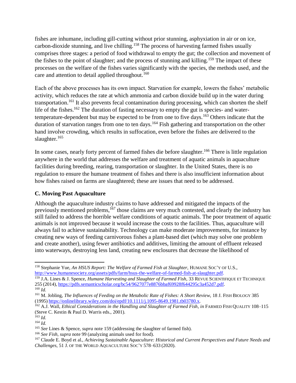fishes are inhumane, including gill-cutting without prior stunning, asphyxiation in air or on ice, carbon-dioxide stunning, and live chilling.<sup>158</sup> The process of harvesting farmed fishes usually comprises three stages: a period of food withdrawal to empty the gut; the collection and movement of the fishes to the point of slaughter; and the process of stunning and killing.<sup>159</sup> The impact of these processes on the welfare of the fishes varies significantly with the species, the methods used, and the care and attention to detail applied throughout.<sup>160</sup>

Each of the above processes has its own impact. Starvation for example, lowers the fishes' metabolic activity, which reduces the rate at which ammonia and carbon dioxide build up in the water during transportation.<sup>161</sup> It also prevents fecal contamination during processing, which can shorten the shelf life of the fishes.<sup>162</sup> The duration of fasting necessary to empty the gut is species- and watertemperature-dependent but may be expected to be from one to five days.<sup>163</sup> Others indicate that the duration of starvation ranges from one to ten days.<sup>164</sup> Fish gathering and transportation on the other hand involve crowding, which results in suffocation, even before the fishes are delivered to the slaughter.<sup>165</sup>

In some cases, nearly forty percent of farmed fishes die before slaughter.<sup>166</sup> There is little regulation anywhere in the world that addresses the welfare and treatment of aquatic animals in aquaculture facilities during breeding, rearing, transportation or slaughter. In the United States, there is no regulation to ensure the humane treatment of fishes and there is also insufficient information about how fishes raised on farms are slaughtered; these are issues that need to be addressed.

#### <span id="page-22-0"></span>**C. Moving Past Aquaculture**

Although the aquaculture industry claims to have addressed and mitigated the impacts of the previously mentioned problems,<sup>167</sup> those claims are very much contested, and clearly the industry has still failed to address the horrible welfare conditions of aquatic animals. The poor treatment of aquatic animals is not improved because it would increase the costs to the facilities. Thus, aquaculture will always fail to achieve sustainability. Technology can make moderate improvements, for instance by creating new ways of feeding carnivorous fishes a plant-based diet (which may solve one problem and create another), using fewer antibiotics and additives, limiting the amount of effluent released into waterways, destroying less land, creating new enclosures that decrease the likelihood of

 $\overline{a}$ 

<sup>158</sup> Stephanie Yue, *An HSUS Report: The Welfare of Farmed Fish at Slaughter*, HUMANE SOC'Y OF U.S., [http://www.humanesociety.org/assets/pdfs/farm/hsus-the-welfare-of-farmed-fish-at-slaughter.pdf.](http://www.humanesociety.org/assets/pdfs/farm/hsus-the-welfare-of-farmed-fish-at-slaughter.pdf)

<sup>159</sup> J.A. Lines & J. Spence, *Humane Harvesting and Slaughter of Farmed Fish*, 33 REVUE SCIENTIFIQUE ET TECHNIQUE 255 (2014), [https://pdfs.semanticscholar.org/bc54/9627077e8876bbaf69928f644295c3a452d7.pdf.](https://pdfs.semanticscholar.org/bc54/9627077e8876bbaf69928f644295c3a452d7.pdf) <sup>160</sup> *Id.*

<sup>161</sup> M. Jobling, *The Influences of Feeding on the Metabolic Rate of Fishes: A Short Review*, 18 J. FISH BIOLOGY 385

<sup>(1995)</sup> [https://onlinelibrary.wiley.com/doi/epdf/10.1111/j.1095-8649.1981.tb03780.x.](https://onlinelibrary.wiley.com/doi/epdf/10.1111/j.1095-8649.1981.tb03780.x)

<sup>162</sup> A.J. Wall, *Ethical Considerations in the Handling and Slaughter of Farmed Fish*, *in* FARMED FISH QUALITY 108–115 (Steve C. Kestin & Paul D. Warris eds., 2001).

<sup>163</sup> *Id.*

<sup>164</sup> *Id.*

<sup>165</sup> *See* Lines & Spence, *supra* note 159 (addressing the slaughter of farmed fish).

<sup>166</sup> *See Fish*, *supra* note 99 (analyzing animals used for food).

<sup>167</sup> Claude E. Boyd et al., *Achieving Sustainable Aquaculture: Historical and Current Perspectives and Future Needs and Challenges*, 51 J. OF THE WORLD AQUACULTURE SOC'Y 578–633 (2020).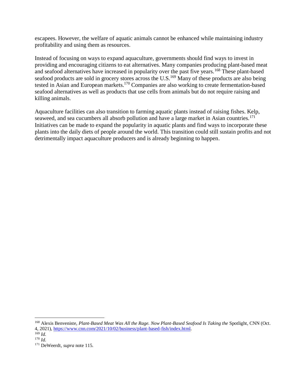escapees. However, the welfare of aquatic animals cannot be enhanced while maintaining industry profitability and using them as resources.

Instead of focusing on ways to expand aquaculture, governments should find ways to invest in providing and encouraging citizens to eat alternatives. Many companies producing plant-based meat and seafood alternatives have increased in popularity over the past five years.<sup>168</sup> These plant-based seafood products are sold in grocery stores across the U.S.<sup>169</sup> Many of these products are also being tested in Asian and European markets.<sup>170</sup> Companies are also working to create fermentation-based seafood alternatives as well as products that use cells from animals but do not require raising and killing animals.

Aquaculture facilities can also transition to farming aquatic plants instead of raising fishes. Kelp, seaweed, and sea cucumbers all absorb pollution and have a large market in Asian countries.<sup>171</sup> Initiatives can be made to expand the popularity in aquatic plants and find ways to incorporate these plants into the daily diets of people around the world. This transition could still sustain profits and not detrimentally impact aquaculture producers and is already beginning to happen.

<sup>&</sup>lt;sup>168</sup> Alexis Benveniste, *Plant-Based Meat Was All the Rage. Now Plant-Based Seafood Is Taking the Spotlight, CNN (Oct.* 4, 2021), [https://www.cnn.com/2021/10/02/business/plant-based-fish/index.html.](https://www.cnn.com/2021/10/02/business/plant-based-fish/index.html) 

<sup>169</sup> *Id.*

<sup>170</sup> *Id.*

<sup>171</sup> DeWeerdt, *supra* note 115.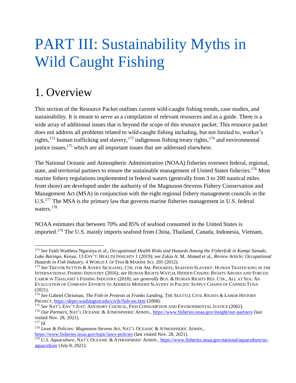## <span id="page-24-0"></span>PART III: Sustainability Myths in Wild Caught Fishing

### <span id="page-24-1"></span>1. Overview

This section of the Resource Packet outlines current wild-caught fishing trends, case studies, and sustainability. It is meant to serve as a compilation of relevant resources and as a guide. There is a wide array of additional issues that is beyond the scope of this resource packet. This resource packet does not address all problems related to wild-caught fishing including, but not limited to, worker's rights,<sup>172</sup> human trafficking and slavery,<sup>173</sup> indigenous fishing treaty rights,<sup>174</sup> and environmental justice issues,<sup>175</sup> which are all important issues that are addressed elsewhere.

The National Oceanic and Atmospheric Administration (NOAA) fisheries oversees federal, regional, state, and territorial partners to ensure the sustainable management of United States fisheries.<sup>176</sup> Most marine fishery regulations implemented in federal waters (generally from 3 to 200 nautical miles from shore) are developed under the authority of the Magnuson-Stevens Fishery Conservation and Management Act (MSA) in conjunction with the eight regional fishery management councils in the U.S.<sup>177</sup> The MSA is the primary law that governs marine fisheries management in U.S. federal waters.<sup>178</sup>

NOAA estimates that between 70% and 85% of seafood consumed in the United States is imported.<sup>179</sup> The U.S. mainly imports seafood from China, Thailand, Canada, Indonesia, Vietnam,

 $\overline{a}$ 

<sup>172</sup> *See* Faith Waithera Ngaruiya et al., *Occupational Health Risks and Hazards Among the Fisherfolk in Kampi Samaki, Lake Baringo, Kenya*, 13 ENV'T. HEALTH INSIGHTS 1 (2019); *see* Zakia A. M. Ahmed et al., *Review Article; Occupational Hazards in Fish Industry*, 4 WORLD J. OF FISH & MARINE SCI. 201 (2012).

<sup>&</sup>lt;sup>173</sup> See Trevor Sutton & Avery Siciliano, Ctr. for Am. Progress, Seafood Slavery: Human Trafficking in the INTERNATIONAL FISHING INDUSTRY (2016); *see* HUMAN RIGHTS WATCH, HIDDEN CHAINS: RIGHTS ABUSES AND FORCED LABOR IN THAILAND'S FISHING INDUSTRY (2018); *see generally* BUS. & HUMAN RIGHTS RES. CTR., ALL AT SEA: AN EVALUATION OF COMPANY EFFORTS TO ADDRESS MODERN SLAVERY IN PACIFIC SUPPLY CHAINS OF CANNED TUNA (2021).

<sup>174</sup> *See* Gabriel Chrisman, *The Fish-in Protests at Franks Landing*, THE SEATTLE CIVIL RIGHTS & LABOR HISTORY PROJECT,<https://depts.washington.edu/civilr/fish-ins.htm> (2008).

<sup>175</sup> *See* NAT'L ENV'T JUST. ADVISORY COUNCIL, FISH CONSUMPTION AND ENVIRONMENTAL JUSTICE (2002).

<sup>176</sup> *Our Partners*, NAT'L OCEANIC & ATMOSPHERIC ADMIN.[, https://www.fisheries.noaa.gov/insight/our-partners](https://www.fisheries.noaa.gov/insight/our-partners) (last visited Nov. 28, 2021).

<sup>177</sup> *Id*.

<sup>178</sup> *Laws & Policies: Magnuson-Stevens Act*, NAT'L OCEANIC & ATMOSPHERIC ADMIN.,

<https://www.fisheries.noaa.gov/topic/laws-policies> (last visited Nov. 28, 2021).

<sup>&</sup>lt;sup>179</sup> *U.S. Aquaculture*, NAT'L OCEANIC & ATMOSPHERIC ADMIN.[, https://www.fisheries.noaa.gov/national/aquaculture/us](https://www.fisheries.noaa.gov/national/aquaculture/us-aquaculture)[aquaculture](https://www.fisheries.noaa.gov/national/aquaculture/us-aquaculture) (July 8, 2021).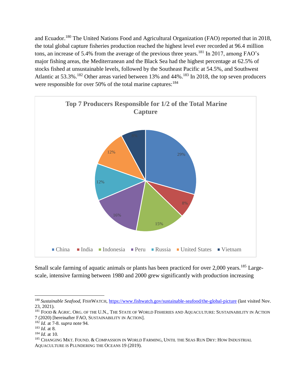and Ecuador.<sup>180</sup> The United Nations Food and Agricultural Organization (FAO) reported that in 2018, the total global capture fisheries production reached the highest level ever recorded at 96.4 million tons, an increase of 5.4% from the average of the previous three years.<sup>181</sup> In 2017, among FAO's major fishing areas, the Mediterranean and the Black Sea had the highest percentage at 62.5% of stocks fished at unsustainable levels, followed by the Southeast Pacific at 54.5%, and Southwest Atlantic at 53.3%.<sup>182</sup> Other areas varied between 13% and 44%.<sup>183</sup> In 2018, the top seven producers were responsible for over 50% of the total marine captures:  $184$ 



Small scale farming of aquatic animals or plants has been practiced for over 2,000 years.<sup>185</sup> Largescale, intensive farming between 1980 and 2000 grew significantly with production increasing

 $\overline{a}$ 

<sup>&</sup>lt;sup>180</sup> Sustainable Seafood, FISHWATCH,<https://www.fishwatch.gov/sustainable-seafood/the-global-picture> (last visited Nov. 23, 2021).

<sup>&</sup>lt;sup>181</sup> FOOD & AGRIC. ORG. OF THE U.N., THE STATE OF WORLD FISHERIES AND AQUACULTURE: SUSTAINABILITY IN ACTION 7 (2020) [hereinafter FAO, SUSTAINABILITY IN ACTION].

<sup>182</sup> *Id*. at 7-8. *supra* note 94.

<sup>183</sup> *Id*. at 8.

<sup>184</sup> *Id*. at 10.

<sup>&</sup>lt;sup>185</sup> CHANGING MKT. FOUND. & COMPASSION IN WORLD FARMING, UNTIL THE SEAS RUN DRY: HOW INDUSTRIAL AQUACULTURE IS PLUNDERING THE OCEANS 19 (2019).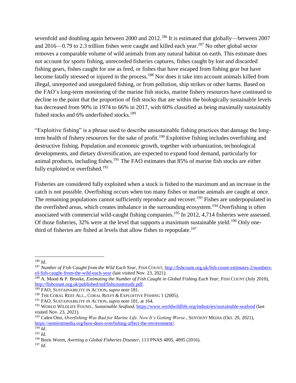sevenfold and doubling again between 2000 and 2012.<sup>186</sup> It is estimated that globally—between 2007 and 2016—0.79 to 2.3 trillion fishes were caught and killed each year.<sup>187</sup> No other global sector removes a comparable volume of wild animals from any natural habitat on earth. This estimate does not account for sports fishing, unrecorded fisheries captures, fishes caught by lost and discarded fishing gears, fishes caught for use as feed, or fishes that have escaped from fishing gear but have become fatally stressed or injured in the process.<sup>188</sup> Nor does it take into account animals killed from illegal, unreported and unregulated fishing, or from pollution, ship strikes or other harms. Based on the FAO's long-term monitoring of the marine fish stocks, marine fishery resources have continued to decline to the point that the proportion of fish stocks that are within the biologically sustainable levels has decreased from 90% in 1974 to 66% in 2017, with 60% classified as being maximally sustainably fished stocks and  $6\%$  underfished stocks.<sup>189</sup>

"Exploitive fishing" is a phrase used to describe unsustainable fishing practices that damage the longterm health of fishery resources for the sake of profit.<sup>190</sup> Exploitive fishing includes overfishing and destructive fishing. Population and economic growth, together with urbanization, technological developments, and dietary diversification, are expected to expand food demand, particularly for animal products, including fishes.<sup>191</sup> The FAO estimates that 85% of marine fish stocks are either fully exploited or overfished.<sup>192</sup>

Fisheries are considered fully exploited when a stock is fished to the maximum and an increase in the catch is not possible. Overfishing occurs when too many fishes or marine animals are caught at once. The remaining populations cannot sufficiently reproduce and recover.<sup>193</sup> Fishes are underpopulated in the overfished areas, which creates imbalance in the surrounding ecosystem.<sup>194</sup> Overfishing is often associated with commercial wild-caught fishing companies.<sup>195</sup> In 2012, 4,714 fisheries were assessed. Of those fisheries, 32% were at the level that supports a maximum sustainable yield.<sup>196</sup> Only onethird of fisheries are fished at levels that allow fishes to repopulate.<sup>197</sup>

l <sup>186</sup> *Id*.

<sup>187</sup> *Number of Fish Caught from the Wild Each Year*, FISH COUNT[, http://fishcount.org.uk/fish-count-estimates-2/numbers](http://fishcount.org.uk/fish-count-estimates-2/numbers-of-fish-caught-from-the-wild-each-year)[of-fish-caught-from-the-wild-each-year](http://fishcount.org.uk/fish-count-estimates-2/numbers-of-fish-caught-from-the-wild-each-year) (last visited Nov. 23, 2021).

<sup>&</sup>lt;sup>188</sup> A. Mood & P. Brooke, *Estimating the Number of Fish Caught in Global Fishing Each Year*, FISH COUNT (July 2010), [http://fishcount.org.uk/published/std/fishcountstudy.pdf.](http://fishcount.org.uk/published/std/fishcountstudy.pdf)

<sup>189</sup> FAO, SUSTAINABILITY IN ACTION, *supra* note 181.

<sup>&</sup>lt;sup>190</sup> THE CORAL REEF ALL., CORAL REEFS & EXPLOITIVE FISHING 1 (2005).

<sup>191</sup> FAO, SUSTAINABILITY IN ACTION, *supra* note 181, at 164.

<sup>192</sup> WORLD WILDLIFE FOUND., *Sustainable Seafood*[, https://www.worldwildlife.org/industries/sustainable-seafood](https://www.worldwildlife.org/industries/sustainable-seafood) (last visited Nov. 23, 2021).

<sup>193</sup> Calen Otto, *Overfishing Was Bad for Marine Life. Now It's Getting Worse.*, SENTIENT MEDIA (Oct. 29, 2021), [https://sentientmedia.org/how-does-overfishing-affect-the-environment/.](https://sentientmedia.org/how-does-overfishing-affect-the-environment/)

 $^{194}$  *Id.* 

<sup>195</sup> *Id.*

<sup>196</sup> Boris Worm, *Averting a Global Fisheries Disaster*, 113 PNAS 4895, 4895 (2016).

<sup>197</sup> *Id*.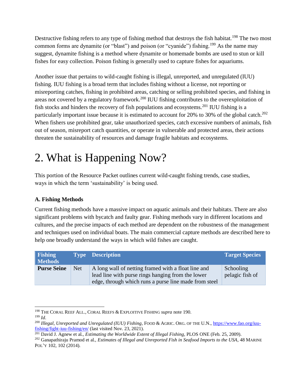Destructive fishing refers to any type of fishing method that destroys the fish habitat.<sup>198</sup> The two most common forms are dynamite (or "blast") and poison (or "cyanide") fishing.<sup>199</sup> As the name may suggest, dynamite fishing is a method where dynamite or homemade bombs are used to stun or kill fishes for easy collection. Poison fishing is generally used to capture fishes for aquariums.

Another issue that pertains to wild-caught fishing is illegal, unreported, and unregulated (IUU) fishing. IUU fishing is a broad term that includes fishing without a license, not reporting or misreporting catches, fishing in prohibited areas, catching or selling prohibited species, and fishing in areas not covered by a regulatory framework.<sup>200</sup> IUU fishing contributes to the overexploitation of fish stocks and hinders the recovery of fish populations and ecosystems.<sup>201</sup> IUU fishing is a particularly important issue because it is estimated to account for 20% to 30% of the global catch.<sup>202</sup> When fishers use prohibited gear, take unauthorized species, catch excessive numbers of animals, fish out of season, misreport catch quantities, or operate in vulnerable and protected areas, their actions threaten the sustainability of resources and damage fragile habitats and ecosystems.

### <span id="page-27-0"></span>2. What is Happening Now?

This portion of the Resource Packet outlines current wild-caught fishing trends, case studies, ways in which the term 'sustainability' is being used.

#### <span id="page-27-1"></span>**A. Fishing Methods**

Current fishing methods have a massive impact on aquatic animals and their habitats. There are also significant problems with bycatch and faulty gear. Fishing methods vary in different locations and cultures, and the precise impacts of each method are dependent on the robustness of the management and techniques used on individual boats. The main commercial capture methods are described here to help one broadly understand the ways in which wild fishes are caught.

| <b>Fishing</b><br><b>Methods</b> |            | <b>Type Description</b>                                                                                                                                           | <b>Target Species</b>        |
|----------------------------------|------------|-------------------------------------------------------------------------------------------------------------------------------------------------------------------|------------------------------|
| <b>Purse Seine</b>               | <b>Net</b> | A long wall of netting framed with a float line and<br>lead line with purse rings hanging from the lower<br>edge, through which runs a purse line made from steel | Schooling<br>pelagic fish of |

 $\overline{a}$ <sup>198</sup> THE CORAL REEF ALL., CORAL REEFS & EXPLOITIVE FISHING *supra* note 190.

<sup>199</sup> *Id*.

<sup>200</sup> *Illegal, Unreported and Unregulated (IUU) Fishing*, FOOD & AGRIC. ORG. OF THE U.N.[, https://www.fao.org/iuu](https://www.fao.org/iuu-fishing/fight-iuu-fishing/en/)[fishing/fight-iuu-fishing/en/](https://www.fao.org/iuu-fishing/fight-iuu-fishing/en/) (last visited Nov. 23, 2021).

<sup>201</sup> David J. Agnew et al., *Estimating the Worldwide Extent of Illegal Fishing*, PLOS ONE (Feb. 25, 2009).

<sup>202</sup> Ganapathiraju Pramod et al., *Estimates of Illegal and Unreported Fish in Seafood Imports to the USA*, 48 MARINE POL'Y 102, 102 (2014).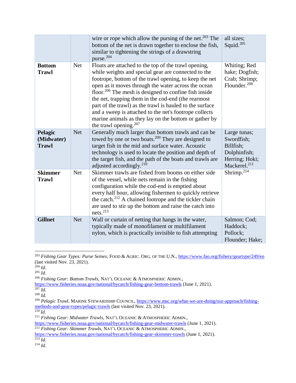|                                       |            | wire or rope which allow the pursing of the net. <sup>203</sup> The<br>bottom of the net is drawn together to enclose the fish,<br>similar to tightening the strings of a drawstring<br>purse. <sup>204</sup>                                                                                                                                                                                                                                                                                                                                                       | all sizes;<br>Squid. $205$                                                                            |
|---------------------------------------|------------|---------------------------------------------------------------------------------------------------------------------------------------------------------------------------------------------------------------------------------------------------------------------------------------------------------------------------------------------------------------------------------------------------------------------------------------------------------------------------------------------------------------------------------------------------------------------|-------------------------------------------------------------------------------------------------------|
| <b>Bottom</b><br><b>Trawl</b>         | <b>Net</b> | Floats are attached to the top of the trawl opening,<br>while weights and special gear are connected to the<br>footrope, bottom of the trawl opening, to keep the net<br>open as it moves through the water across the ocean<br>floor. <sup>206</sup> The mesh is designed to confine fish inside<br>the net, trapping them in the cod-end (the rearmost<br>part of the trawl) as the trawl is hauled to the surface<br>and a sweep is attached to the net's footrope collects<br>marine animals as they lay on the bottom or gather by<br>the trawl opening. $207$ | Whiting; Red<br>hake; Dogfish;<br>Crab; Shrimp;<br>Flounder. <sup>208</sup>                           |
| Pelagic<br>(Midwater)<br><b>Trawl</b> | <b>Net</b> | Generally much larger than bottom trawls and can be<br>towed by one or two boats. <sup>209</sup> They are designed to<br>target fish in the mid and surface water. Acoustic<br>technology is used to locate the position and depth of<br>the target fish, and the path of the boats and trawls are<br>adjusted accordingly. <sup>210</sup>                                                                                                                                                                                                                          | Large tunas;<br>Swordfish;<br>Billfish;<br>Dolphinfish;<br>Herring; Hoki;<br>Mackerel. <sup>211</sup> |
| <b>Skimmer</b><br><b>Trawl</b>        | <b>Net</b> | Skimmer trawls are fished from booms on either side<br>of the vessel, while nets remain in the fishing<br>configuration while the cod-end is emptied about<br>every half hour, allowing fishermen to quickly retrieve<br>the catch. <sup>212</sup> A chained footrope and the tickler chain<br>are used to stir up the bottom and raise the catch into<br>nets. $^{213}$                                                                                                                                                                                            | Shrimp. $214$                                                                                         |
| <b>Gillnet</b>                        | <b>Net</b> | Wall or curtain of netting that hangs in the water,<br>typically made of monofilament or multifilament<br>nylon, which is practically invisible to fish attempting                                                                                                                                                                                                                                                                                                                                                                                                  | Salmon; Cod;<br>Haddock;<br>Pollock;<br>Flounder; Hake;                                               |

<sup>203</sup> *Fishing Gear Types: Purse Seines*, FOOD & AGRIC. ORG. OF THE U.N.[, https://www.fao.org/fishery/geartype/249/en](https://www.fao.org/fishery/geartype/249/en) (last visited Nov. 23, 2021).

l

<sup>205</sup> *Id*.

<sup>206</sup> *Fishing Gear: Bottom Trawls*, NAT'L OCEANIC & ATMOSPHERIC ADMIN.,

<sup>210</sup> *Id*.

<sup>213</sup> *Id*.

 $204$  *Id.* 

<https://www.fisheries.noaa.gov/national/bycatch/fishing-gear-bottom-trawls> (June 1, 2021).

 $\overline{^{207}$  *Id.* 

<sup>208</sup> *Id*.

<sup>209</sup> *Pelagic Trawl*, MARINE STEWARDSHIP COUNCIL[, https://www.msc.org/what-we-are-doing/our-approach/fishing](https://www.msc.org/what-we-are-doing/our-approach/fishing-methods-and-gear-types/pelagic-trawls)[methods-and-gear-types/pelagic-trawls](https://www.msc.org/what-we-are-doing/our-approach/fishing-methods-and-gear-types/pelagic-trawls) (last visited Nov. 23, 2021).

<sup>211</sup> *Fishing Gear: Midwater Trawls*, NAT'L OCEANIC & ATMOSPHERIC ADMIN.,

[https://www.fisheries.noaa.gov/national/bycatch/fishing-gear-midwater-trawls](file:///C:/Users/jessicadantzler/Desktop/,%20https:/www.fisheries.noaa.gov/national/bycatch/fishing-gear-midwater-trawls) (June 1, 2021).

<sup>212</sup> *Fishing Gear: Skimmer Trawls*, NAT'L OCEANIC & ATMOSPHERIC ADMIN.,

<https://www.fisheries.noaa.gov/national/bycatch/fishing-gear-skimmer-trawls> (June 1, 2021).

<sup>214</sup> *Id*.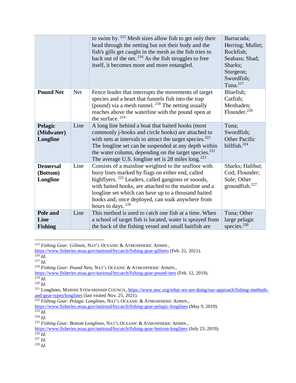|                                         |            | to swim by. $215$ Mesh sizes allow fish to get only their<br>head through the netting but not their body and the<br>fish's gills get caught in the mesh as the fish tries to<br>back out of the net. $2^{16}$ As the fish struggles to free<br>itself, it becomes more and more entangled.                                                                           | Barracuda;<br>Herring; Mullet;<br>Rockfish;<br>Seabass; Shad;<br>Sharks:<br>Sturgeon;<br>Swordfish;<br>Tuna. <sup>217</sup> |
|-----------------------------------------|------------|----------------------------------------------------------------------------------------------------------------------------------------------------------------------------------------------------------------------------------------------------------------------------------------------------------------------------------------------------------------------|-----------------------------------------------------------------------------------------------------------------------------|
| <b>Pound Net</b>                        | <b>Net</b> | Fence leader that interrupts the movements of target<br>species and a heart that funnels fish into the trap<br>(pound) via a mesh tunnel. <sup>218</sup> The netting usually<br>reaches above the waterline with the pound open at<br>the surface. $219$                                                                                                             | Bluefish;<br>Catfish;<br>Menhaden;<br>Flounder. <sup>220</sup>                                                              |
| Pelagic<br>(Midwater)<br>Longline       | Line       | A long line behind a boat that baited hooks (most<br>commonly j-hooks and circle hooks) are attached to<br>with nets at intervals to attract the target species. $^{221}$<br>The longline set can be suspended at any depth within<br>the water column, depending on the target species. <sup>222</sup><br>The average U.S. longline set is 28 miles $\log^{223}$    | Tuna;<br>Swordfish;<br><b>Other Pacific</b><br>billfish. $^{224}$                                                           |
| <b>Demersal</b><br>(Bottom)<br>Longline | Line       | Consists of a mainline weighted to the seafloor with<br>buoy lines marked by flags on either end, called<br>highflyers. <sup>225</sup> Leaders, called gangions or snoods,<br>with baited hooks, are attached to the mainline and a<br>longline set which can have up to a thousand baited<br>hooks and, once deployed, can soak anywhere from<br>hours to days. 226 | Sharks; Halibut;<br>Cod; Flounder;<br>Sole; Other<br>groundfish. <sup>227</sup>                                             |
| Pole and<br>Line<br><b>Fishing</b>      | Line       | This method is used to catch one fish at a time. When<br>a school of target fish is located, water is sprayed from<br>the back of the fishing vessel and small baitfish are                                                                                                                                                                                          | Tuna; Other<br>large pelagic<br>species. $230$                                                                              |

<sup>215</sup> *Fishing Gear: Gillnets*, NAT'L OCEANIC & ATMOSPHERIC ADMIN.,

 $\overline{a}$ 

<sup>218</sup> *Fishing Gear: Pound Nets*, NAT'L OCEANIC & ATMOSPHERIC ADMIN.,

<https://www.fisheries.noaa.gov/national/bycatch/fishing-gear-gillnets> (Feb. 22, 2021).

 $^{216}$  *Id.* 

 $^{217}$  *Id.* 

<https://www.fisheries.noaa.gov/national/bycatch/fishing-gear-pound-nets> (Feb. 12, 2019).

<sup>219</sup> *Id*.

<sup>220</sup> *Id*.

<sup>&</sup>lt;sup>221</sup> Longlines, MARINE STEWARDSHIP COUNCIL, [https://www.msc.org/what-we-are-doing/our-approach/fishing-methods](https://www.msc.org/what-we-are-doing/our-approach/fishing-methods-and-gear-types/longlines)[and-gear-types/longlines](https://www.msc.org/what-we-are-doing/our-approach/fishing-methods-and-gear-types/longlines) (last visited Nov. 25, 2021).

<sup>222</sup> *Fishing Gear: Pelagic Longlines*, NAT'L OCEANIC & ATMOSPHERIC ADMIN.,

<https://www.fisheries.noaa.gov/national/bycatch/fishing-gear-pelagic-longlines> (May 9, 2019).

<sup>223</sup> *Id*.

<sup>224</sup> *Id*.

<sup>225</sup> *Fishing Gear: Bottom Longlines*, NAT'L OCEANIC & ATMOSPHERIC ADMIN.,

<https://www.fisheries.noaa.gov/national/bycatch/fishing-gear-bottom-longlines> (July 23, 2019).  $^{226}$  *Id.* 

<sup>227</sup> *Id*.

<sup>230</sup> *Id*.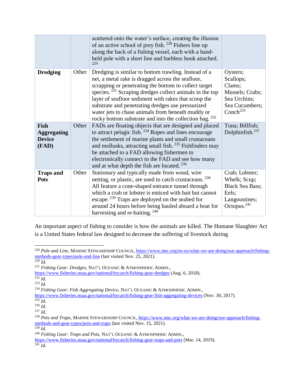|                                                      |       | scattered onto the water's surface, creating the illusion<br>of an active school of prey fish. <sup>228</sup> Fishers line up<br>along the back of a fishing vessel, each with a hand-<br>held pole with a short line and barbless hook attached.<br>229                                                                                                                                                                                                                 |                                                                                                              |
|------------------------------------------------------|-------|--------------------------------------------------------------------------------------------------------------------------------------------------------------------------------------------------------------------------------------------------------------------------------------------------------------------------------------------------------------------------------------------------------------------------------------------------------------------------|--------------------------------------------------------------------------------------------------------------|
| <b>Dredging</b>                                      | Other | Dredging is similar to bottom trawling. Instead of a<br>net, a metal rake is dragged across the seafloor,<br>scrapping or penetrating the bottom to collect target<br>species. $231$ Scraping dredges collect animals in the top<br>layer of seafloor sediment with rakes that scoop the<br>substrate and penetrating dredges use pressurized<br>water jets to chase animals from beneath muddy or<br>rocky bottom substrate and into the collection bag. <sup>232</sup> | Oysters;<br>Scallops;<br>Clams;<br>Mussels; Crabs;<br>Sea Urchins;<br>Sea Cucumbers;<br>Conch <sup>233</sup> |
| Fish<br><b>Aggregating</b><br><b>Device</b><br>(FAD) | Other | FADs are floating objects that are designed and placed<br>to attract pelagic fish. $^{234}$ Ropes and lines encourage<br>the settlement of marine plants and small crustaceans<br>and mollusks, attracting small fish. <sup>235</sup> Fishfinders may<br>be attached to a FAD allowing fishermen to<br>electronically connect to the FAD and see how many<br>and at what depth the fish are located. <sup>236</sup>                                                      | Tuna; Billfish;<br>Dolphinfish. <sup>237</sup>                                                               |
| <b>Traps and</b><br><b>Pots</b>                      | Other | Stationary and typically made from wood, wire<br>netting, or plastic, are used to catch crustaceans. <sup>238</sup><br>All feature a cone-shaped entrance tunnel through<br>which a crab or lobster is enticed with bait but cannot<br>escape. <sup>239</sup> Traps are deployed on the seabed for<br>around 24 hours before being hauled aboard a boat for<br>harvesting and re-baiting. <sup>240</sup>                                                                 | Crab; Lobster;<br>Whelk; Scup;<br><b>Black Sea Bass;</b><br>Eels;<br>Langoustines;<br>Octopus. $^{241}$      |

An important aspect of fishing to consider is how the animals are killed. The Humane Slaughter Act is a United States federal law designed to decrease the suffering of livestock during

 $\overline{a}$ <sup>228</sup> *Pole and Line*, MARINE STEWARDSHIP COUNCIL, [https://www.msc.org/en-us/what-we-are-doing/our-approach/fishing](https://www.msc.org/en-us/what-we-are-doing/our-approach/fishing-methods-gear-types/pole-and-line)[methods-gear-types/pole-and-line](https://www.msc.org/en-us/what-we-are-doing/our-approach/fishing-methods-gear-types/pole-and-line) (last visited Nov. 25, 2021). <sup>229</sup> *Id*.

<sup>231</sup> *Fishing Gear: Dredges*, NAT'L OCEANIC & ATMOSPHERIC ADMIN.,

<https://www.fisheries.noaa.gov/national/bycatch/fishing-gear-dredges> (Aug. 6, 2018).

<sup>232</sup> *Id*.

<sup>233</sup> *Id*.

<sup>234</sup> *Fishing Gear: Fish Aggregating Device*, NAT'L OCEANIC & ATMOSPHERIC ADMIN.,

<https://www.fisheries.noaa.gov/national/bycatch/fishing-gear-fish-aggregating-devices> (Nov. 30, 2017).

 $\overline{\frac{235}{Id}}$ .

<sup>236</sup> *Id*.

<sup>237</sup> *Id*.

<sup>238</sup> *Pots and Traps*, MARINE STEWARDSHIP COUNCIL, [https://www.msc.org/what-we-are-doing/our-approach/fishing](https://www.msc.org/what-we-are-doing/our-approach/fishing-methods-and-gear-types/pots-and-traps)[methods-and-gear-types/pots-and-traps](https://www.msc.org/what-we-are-doing/our-approach/fishing-methods-and-gear-types/pots-and-traps) (last visited Nov. 15, 2021).

<sup>239</sup> *Id*.

<sup>240</sup> *Fishing Gear: Traps and Pots*, NAT'L OCEANIC & ATMOSPHERIC ADMIN.,

<https://www.fisheries.noaa.gov/national/bycatch/fishing-gear-traps-and-pots> (Mar. 14, 2019).

<sup>241</sup> *Id*.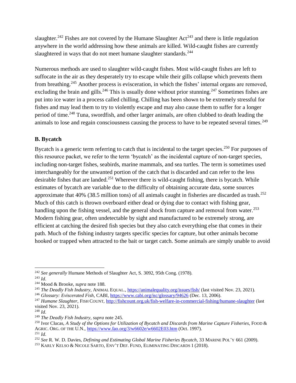slaughter.<sup>242</sup> Fishes are not covered by the Humane Slaughter Act<sup>243</sup> and there is little regulation anywhere in the world addressing how these animals are killed. Wild-caught fishes are currently slaughtered in ways that do not meet humane slaughter standards.<sup>244</sup>

Numerous methods are used to slaughter wild-caught fishes. Most wild-caught fishes are left to suffocate in the air as they desperately try to escape while their gills collapse which prevents them from breathing.<sup>245</sup> Another process is evisceration, in which the fishes' internal organs are removed, excluding the brain and gills.<sup>246</sup> This is usually done without prior stunning.<sup>247</sup> Sometimes fishes are put into ice water in a process called chilling. Chilling has been shown to be extremely stressful for fishes and may lead them to try to violently escape and may also cause them to suffer for a longer period of time.<sup>248</sup> Tuna, swordfish, and other larger animals, are often clubbed to death leading the animals to lose and regain consciousness causing the process to have to be repeated several times.<sup>249</sup>

#### <span id="page-31-0"></span>**B. Bycatch**

Bycatch is a generic term referring to catch that is incidental to the target species.<sup>250</sup> For purposes of this resource packet, we refer to the term 'bycatch' as the incidental capture of non-target species, including non-target fishes, seabirds, marine mammals, and sea turtles. The term is sometimes used interchangeably for the unwanted portion of the catch that is discarded and can refer to the less desirable fishes that are landed.<sup>251</sup> Wherever there is wild-caught fishing, there is bycatch. While estimates of bycatch are variable due to the difficulty of obtaining accurate data, some sources approximate that 40% (38.5 million tons) of all animals caught in fisheries are discarded as trash.<sup>252</sup> Much of this catch is thrown overboard either dead or dying due to contact with fishing gear, handling upon the fishing vessel, and the general shock from capture and removal from water.<sup>253</sup> Modern fishing gear, often undetectable by sight and manufactured to be extremely strong, are efficient at catching the desired fish species but they also catch everything else that comes in their path. Much of the fishing industry targets specific species for capture, but other animals become hooked or trapped when attracted to the bait or target catch. Some animals are simply unable to avoid

 $\overline{a}$ <sup>242</sup> *See generally* Humane Methods of Slaughter Act, S. 3092, 95th Cong. (1978).

<sup>243</sup> *Id*.

<sup>244</sup> Mood & Brooke, *supra* note 188.

<sup>245</sup> *The Deadly Fish Industry*, ANIMAL EQUAL.,<https://animalequality.org/issues/fish/> (last visited Nov. 23, 2021).

<sup>246</sup> *Glossary: Eviscerated Fish*, CABI[, https://www.cabi.org/isc/glossary/94626](https://www.cabi.org/isc/glossary/94626) (Dec. 13, 2006).

<sup>&</sup>lt;sup>247</sup> *Humane Slaughter*, FISH COUNT,<http://fishcount.org.uk/fish-welfare-in-commercial-fishing/humane-slaughter> (last visited Nov. 23, 2021).

<sup>248</sup> *Id*.

<sup>249</sup> *The Deadly Fish Industry*, *supra* note 245.

<sup>250</sup> Ivor Clucas, *A Study of the Options for Utilization of Bycatch and Discards from Marine Capture Fisheries*, FOOD & AGRIC. ORG. OF THE U.N.,<https://www.fao.org/3/w6602e/w6602E03.htm> (Oct. 1997).  $^{251}$  *Id*.

<sup>252</sup> *See* R. W. D. Davies, *Defining and Estimating Global Marine Fisheries Bycatch*, 33 MARINE POL'Y 661 (2009).

<sup>253</sup> KARLY KELSO & NICOLE SARTO, ENV'T DEF. FUND, ELIMINATING DISCARDS 1 (2018).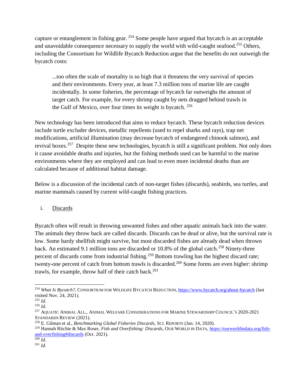capture or entanglement in fishing gear. <sup>254</sup> Some people have argued that bycatch is an acceptable and unavoidable consequence necessary to supply the world with wild-caught seafood.<sup>255</sup> Others, including the Consortium for Wildlife Bycatch Reduction argue that the benefits do not outweigh the bycatch costs:

...too often the scale of mortality is so high that it threatens the very survival of species and their environments. Every year, at least 7.3 million tons of marine life are caught incidentally. In some fisheries, the percentage of bycatch far outweighs the amount of target catch. For example, for every shrimp caught by nets dragged behind trawls in the Gulf of Mexico, over four times its weight is bycatch.  $256$ 

New technology has been introduced that aims to reduce bycatch. These bycatch reduction devices include turtle excluder devices, metallic repellents (used to repel sharks and rays), trap net modifications, artificial illumination (may decrease bycatch of endangered chinook salmon), and revival boxes.<sup>257</sup> Despite these new technologies, bycatch is still a significant problem. Not only does it cause avoidable deaths and injuries, but the fishing methods used can be harmful to the marine environments where they are employed and can lead to even more incidental deaths than are calculated because of additional habitat damage.

Below is a discussion of the incidental catch of non-target fishes (discards), seabirds, sea turtles, and marine mammals caused by current wild-caught fishing practices.

#### i. Discards

Bycatch often will result in throwing unwanted fishes and other aquatic animals back into the water. The animals they throw back are called discards. Discards can be dead or alive, but the survival rate is low. Some hardy shellfish might survive, but most discarded fishes are already dead when thrown back. An estimated 9.1 million tons are discarded or 10.8% of the global catch.<sup>258</sup> Ninety-three percent of discards come from industrial fishing.<sup>259</sup> Bottom trawling has the highest discard rate; twenty-one percent of catch from bottom trawls is discarded.<sup>260</sup> Some forms are even higher: shrimp trawls, for example, throw half of their catch back.<sup>261</sup>

<sup>254</sup> *What Is Bycatch?*, CONSORTIUM FOR WILDLIFE BYCATCH REDUCTION, <https://www.bycatch.org/about-bycatch> (last visited Nov. 24, 2021).

<sup>255</sup> *Id*.

<sup>256</sup> *Id*.

<sup>257</sup> AQUATIC ANIMAL ALL., ANIMAL WELFARE CONSIDERATIONS FOR MARINE STEWARDSHIP COUNCIL'S 2020-2021 STANDARDS REVIEW (2021).

<sup>258</sup> E. Gilman et al., *Benchmarking Global Fisheries Discards*, SCI. REPORTS (Jan. 14, 2020).

<sup>259</sup> Hannah Ritchie & Max Roser, *Fish and Overfishing: Discards*, OUR WORLD IN DATA, [https://ourworldindata.org/fish](https://ourworldindata.org/fish-and-overfishing#discards)[and-overfishing#discards](https://ourworldindata.org/fish-and-overfishing#discards) (Oct. 2021).

<sup>260</sup> *Id*. <sup>261</sup> *Id*.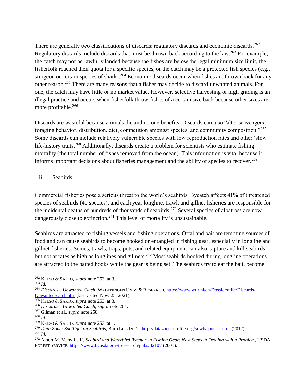There are generally two classifications of discards: regulatory discards and economic discards.<sup>262</sup> Regulatory discards include discards that must be thrown back according to the law.<sup>263</sup> For example, the catch may not be lawfully landed because the fishes are below the legal minimum size limit, the fisherfolk reached their quota for a specific species, or the catch may be a protected fish species (e.g., sturgeon or certain species of shark).<sup>264</sup> Economic discards occur when fishes are thrown back for any other reason.<sup>265</sup> There are many reasons that a fisher may decide to discard unwanted animals. For one, the catch may have little or no market value. However, selective harvesting or high grading is an illegal practice and occurs when fisherfolk throw fishes of a certain size back because other sizes are more profitable.<sup>266</sup>

Discards are wasteful because animals die and no one benefits. Discards can also "alter scavengers' foraging behavior, distribution, diet, competition amongst species, and community composition."<sup>267</sup> Some discards can include relatively vulnerable species with low reproduction rates and other 'slow' life-history traits.<sup>268</sup> Additionally, discards create a problem for scientists who estimate fishing mortality (the total number of fishes removed from the ocean). This information is vital because it informs important decisions about fisheries management and the ability of species to recover.<sup>269</sup>

#### ii. Seabirds

Commercial fisheries pose a serious threat to the world's seabirds. Bycatch affects 41% of threatened species of seabirds (40 species), and each year longline, trawl, and gillnet fisheries are responsible for the incidental deaths of hundreds of thousands of seabirds.<sup>270</sup> Several species of albatross are now dangerously close to extinction.<sup>271</sup> This level of mortality is unsustainable.

Seabirds are attracted to fishing vessels and fishing operations. Offal and bait are tempting sources of food and can cause seabirds to become hooked or entangled in fishing gear, especially in longline and gillnet fisheries. Seines, trawls, traps, pots, and related equipment can also capture and kill seabirds but not at rates as high as longlines and gillnets.<sup>272</sup> Most seabirds hooked during longline operations are attracted to the baited hooks while the gear is being set. The seabirds try to eat the bait, become

 $\overline{a}$ 

<sup>262</sup> KELSO & SARTO, *supra* note 253, at 3.

<sup>263</sup> *Id*.

<sup>264</sup> *Discards—Unwanted Catch*, WAGENINGEN UNIV. & RESEARCH, [https://www.wur.nl/en/Dossiers/file/Discards-](https://www.wur.nl/en/Dossiers/file/Discards-Unwanted-catch.htm)[Unwanted-catch.htm](https://www.wur.nl/en/Dossiers/file/Discards-Unwanted-catch.htm) (last visited Nov. 25, 2021).

<sup>265</sup> KELSO & SARTO, *supra* note 253, at 3.

<sup>266</sup> *Discards—Unwanted Catch*, *supra* note 264.

<sup>267</sup> Gilman et al., *supra* note 258.

<sup>268</sup> *Id*.

<sup>269</sup> KELSO & SARTO, *supra* note 253, at 1.

<sup>270</sup> *Data Zone: Spotlight on Seabirds*, BIRD LIFE INT'L,<http://datazone.birdlife.org/sowb/spotseabirds> (2012).  $^{271}$  *Id*.

<sup>272</sup> Albert M. Manville II, *Seabird and Waterbird Bycatch in Fishing Gear: Next Steps in Dealing with a Problem*, USDA FOREST SERVICE,<https://www.fs.usda.gov/treesearch/pubs/32107> (2005).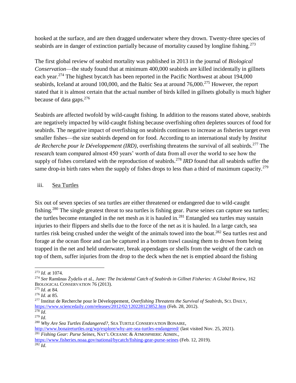hooked at the surface, and are then dragged underwater where they drown. Twenty-three species of seabirds are in danger of extinction partially because of mortality caused by longline fishing.<sup>273</sup>

The first global review of seabird mortality was published in 2013 in the journal of *Biological Conservation*—the study found that at minimum 400,000 seabirds are killed incidentally in gillnets each year.<sup>274</sup> The highest bycatch has been reported in the Pacific Northwest at about 194,000 seabirds, Iceland at around 100,000, and the Baltic Sea at around 76,000.<sup>275</sup> However, the report stated that it is almost certain that the actual number of birds killed in gillnets globally is much higher because of data gaps.<sup>276</sup>

Seabirds are affected twofold by wild-caught fishing. In addition to the reasons stated above, seabirds are negatively impacted by wild-caught fishing because overfishing often depletes sources of food for seabirds. The negative impact of overfishing on seabirds continues to increase as fisheries target even smaller fishes—the size seabirds depend on for food. According to an international study by *Institut de Recherche pour le Développement (IRD)*, overfishing threatens the survival of all seabirds.<sup>277</sup> The research team compared almost 450 years' worth of data from all over the world to see how the supply of fishes correlated with the reproduction of seabirds.<sup>278</sup> *IRD* found that all seabirds suffer the same drop-in birth rates when the supply of fishes drops to less than a third of maximum capacity.<sup>279</sup>

#### iii. Sea Turtles

Six out of seven species of sea turtles are either threatened or endangered due to wild-caught fishing.<sup>280</sup> The single greatest threat to sea turtles is fishing gear. Purse seines can capture sea turtles; the turtles become entangled in the net mesh as it is hauled in.<sup>281</sup> Entangled sea turtles may sustain injuries to their flippers and shells due to the force of the net as it is hauled. In a large catch, sea turtles risk being crushed under the weight of the animals towed into the boat.<sup>282</sup> Sea turtles rest and forage at the ocean floor and can be captured in a bottom trawl causing them to drown from being trapped in the net and held underwater, break appendages or shells from the weight of the catch on top of them, suffer injuries from the drop to the deck when the net is emptied aboard the fishing

<http://www.bonaireturtles.org/wp/explore/why-are-sea-turtles-endangered/> (last visited Nov. 25, 2021). <sup>281</sup> *Fishing Gear: Purse Seines*, NAT'L OCEANIC & ATMOSPHERIC ADMIN.,

 $\overline{a}$ <sup>273</sup> *Id*. at 1074.

<sup>274</sup> *See* Ramūnas Žydelis et al., *June: The Incidental Catch of Seabirds in Gillnet Fisheries: A Global Review*, 162 BIOLOGICAL CONSERVATION 76 (2013).

<sup>275</sup> *Id*. at 84.

<sup>276</sup> *Id*. at 85.

<sup>277</sup> Institut de Recherche pour le Développement, *Overfishing Threatens the Survival of Seabirds*, SCI. DAILY, <https://www.sciencedaily.com/releases/2012/02/120228123852.htm> (Feb. 28, 2012).

<sup>278</sup> *Id*. <sup>279</sup> *Id*.

<sup>280</sup> *Why Are Sea Turtles Endangered?*, SEA TURTLE CONSERVATION BONAIRE,

<https://www.fisheries.noaa.gov/national/bycatch/fishing-gear-purse-seines> (Feb. 12, 2019). <sup>282</sup> *Id*.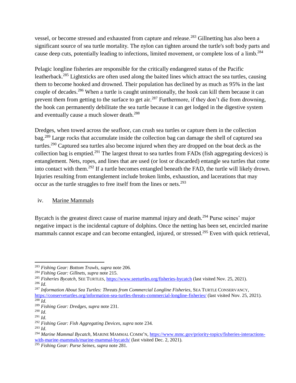vessel, or become stressed and exhausted from capture and release.<sup>283</sup> Gillnetting has also been a significant source of sea turtle mortality. The nylon can tighten around the turtle's soft body parts and cause deep cuts, potentially leading to infections, limited movement, or complete loss of a limb.<sup>284</sup>

Pelagic longline fisheries are responsible for the critically endangered status of the Pacific leatherback.<sup>285</sup> Lightsticks are often used along the baited lines which attract the sea turtles, causing them to become hooked and drowned. Their population has declined by as much as 95% in the last couple of decades.<sup>286</sup> When a turtle is caught unintentionally, the hook can kill them because it can prevent them from getting to the surface to get air.<sup>287</sup> Furthermore, if they don't die from drowning, the hook can permanently debilitate the sea turtle because it can get lodged in the digestive system and eventually cause a much slower death.<sup>288</sup>

Dredges, when towed across the seafloor, can crush sea turtles or capture them in the collection bag.<sup>289</sup> Large rocks that accumulate inside the collection bag can damage the shell of captured sea turtles.<sup>290</sup> Captured sea turtles also become injured when they are dropped on the boat deck as the collection bag is emptied.<sup>291</sup> The largest threat to sea turtles from FADs (fish aggregating devices) is entanglement. Nets, ropes, and lines that are used (or lost or discarded) entangle sea turtles that come into contact with them.<sup>292</sup> If a turtle becomes entangled beneath the FAD, the turtle will likely drown. Injuries resulting from entanglement include broken limbs, exhaustion, and lacerations that may occur as the turtle struggles to free itself from the lines or nets.<sup>293</sup>

#### iv. Marine Mammals

Bycatch is the greatest direct cause of marine mammal injury and death.<sup>294</sup> Purse seines' major negative impact is the incidental capture of dolphins. Once the netting has been set, encircled marine mammals cannot escape and can become entangled, injured, or stressed.<sup>295</sup> Even with quick retrieval,

 $\overline{a}$ <sup>283</sup> *Fishing Gear: Bottom Trawls*, *supra* note 206.

<sup>284</sup> *Fishing Gear: Gillnets, supra* note 215.

<sup>&</sup>lt;sup>285</sup> *Fisheries Bycatch*, SEE TURTLES,<https://www.seeturtles.org/fisheries-bycatch> (last visited Nov. 25, 2021). <sup>286</sup> *Id*.

<sup>287</sup> *Information About Sea Turtles: Threats from Commercial Longline Fisheries*, SEA TURTLE CONSERVANCY,

<https://conserveturtles.org/information-sea-turtles-threats-commercial-longline-fisheries/> (last visited Nov. 25, 2021).  $\overline{^{288}}$ *Id.* 

<sup>289</sup> *Fishing Gear: Dredges*, *supra* note 231.

<sup>290</sup> *Id*.

<sup>291</sup> *Id*.

<sup>292</sup> *Fishing Gear: Fish Aggregating Devices*, *supra* note 234.

<sup>293</sup> *Id*.

<sup>294</sup> *Marine Mammal Bycatch*, MARINE MAMMAL COMM'N[, https://www.mmc.gov/priority-topics/fisheries-interactions](https://www.mmc.gov/priority-topics/fisheries-interactions-with-marine-mammals/marine-mammal-bycatch/)[with-marine-mammals/marine-mammal-bycatch/](https://www.mmc.gov/priority-topics/fisheries-interactions-with-marine-mammals/marine-mammal-bycatch/) (last visited Dec. 2, 2021).

<sup>295</sup> *Fishing Gear: Purse Seines*, *supra* note 281.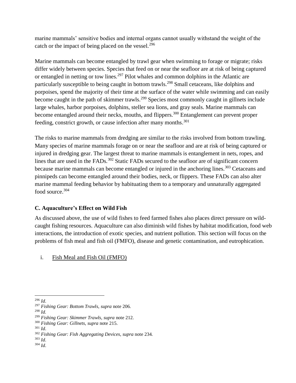marine mammals' sensitive bodies and internal organs cannot usually withstand the weight of the catch or the impact of being placed on the vessel. $296$ 

Marine mammals can become entangled by trawl gear when swimming to forage or migrate; risks differ widely between species. Species that feed on or near the seafloor are at risk of being captured or entangled in netting or tow lines.<sup>297</sup> Pilot whales and common dolphins in the Atlantic are particularly susceptible to being caught in bottom trawls.<sup>298</sup> Small cetaceans, like dolphins and porpoises, spend the majority of their time at the surface of the water while swimming and can easily become caught in the path of skimmer trawls.<sup>299</sup> Species most commonly caught in gillnets include large whales, harbor porpoises, dolphins, steller sea lions, and gray seals. Marine mammals can become entangled around their necks, mouths, and flippers.<sup>300</sup> Entanglement can prevent proper feeding, constrict growth, or cause infection after many months.<sup>301</sup>

The risks to marine mammals from dredging are similar to the risks involved from bottom trawling. Many species of marine mammals forage on or near the seafloor and are at risk of being captured or injured in dredging gear. The largest threat to marine mammals is entanglement in nets, ropes, and lines that are used in the FADs.<sup>302</sup> Static FADs secured to the seafloor are of significant concern because marine mammals can become entangled or injured in the anchoring lines.<sup>303</sup> Cetaceans and pinnipeds can become entangled around their bodies, neck, or flippers. These FADs can also alter marine mammal feeding behavior by habituating them to a temporary and unnaturally aggregated food source.<sup>304</sup>

#### <span id="page-36-0"></span>**C. Aquaculture's Effect on Wild Fish**

As discussed above, the use of wild fishes to feed farmed fishes also places direct pressure on wildcaught fishing resources. Aquaculture can also diminish wild fishes by habitat modification, food web interactions, the introduction of exotic species, and nutrient pollution. This section will focus on the problems of fish meal and fish oil (FMFO), disease and genetic contamination, and eutrophication.

i. Fish Meal and Fish Oil (FMFO)

<sup>298</sup> *Id.*

<sup>303</sup> *Id*. <sup>304</sup> *Id*.

 $\overline{a}$ <sup>296</sup> *Id*.

<sup>297</sup> *Fishing Gear: Bottom Trawls*, *supra* note 206.

<sup>299</sup> *Fishing Gear: Skimmer Trawls*, *supra* note 212.

<sup>300</sup> *Fishing Gear: Gillnets, supra* note 215.

<sup>301</sup> *Id*.

<sup>302</sup> *Fishing Gear: Fish Aggregating Devices*, *supra* note 234.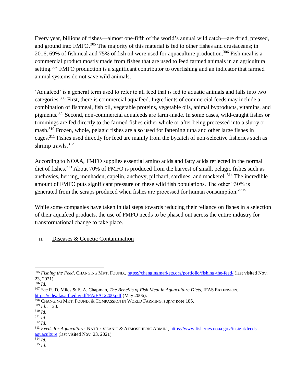Every year, billions of fishes—almost one-fifth of the world's annual wild catch—are dried, pressed, and ground into FMFO.<sup>305</sup> The majority of this material is fed to other fishes and crustaceans; in 2016, 69% of fishmeal and 75% of fish oil were used for aquaculture production. <sup>306</sup> Fish meal is a commercial product mostly made from fishes that are used to feed farmed animals in an agricultural setting.<sup>307</sup> FMFO production is a significant contributor to overfishing and an indicator that farmed animal systems do not save wild animals.

'Aquafeed' is a general term used to refer to all feed that is fed to aquatic animals and falls into two categories.<sup>308</sup> First, there is commercial aquafeed. Ingredients of commercial feeds may include a combination of fishmeal, fish oil, vegetable proteins, vegetable oils, animal byproducts, vitamins, and pigments.<sup>309</sup> Second, non-commercial aquafeeds are farm-made. In some cases, wild-caught fishes or trimmings are fed directly to the farmed fishes either whole or after being processed into a slurry or mash.<sup>310</sup> Frozen, whole, pelagic fishes are also used for fattening tuna and other large fishes in cages.<sup>311</sup> Fishes used directly for feed are mainly from the bycatch of non-selective fisheries such as shrimp trawls.<sup>312</sup>

According to NOAA, FMFO supplies essential amino acids and fatty acids reflected in the normal diet of fishes.<sup>313</sup> About 70% of FMFO is produced from the harvest of small, pelagic fishes such as anchovies, herring, menhaden, capelin, anchovy, pilchard, sardines, and mackerel. <sup>314</sup> The incredible amount of FMFO puts significant pressure on these wild fish populations. The other "30% is generated from the scraps produced when fishes are processed for human consumption."<sup>315</sup>

While some companies have taken initial steps towards reducing their reliance on fishes in a selection of their aquafeed products, the use of FMFO needs to be phased out across the entire industry for transformational change to take place.

#### ii. Diseases & Genetic Contamination

 $rac{314}{314}$  *Id.* <sup>315</sup> *Id*.

 $\overline{a}$ <sup>305</sup> *Fishing the Feed*, CHANGING MKT. FOUND., <https://changingmarkets.org/portfolio/fishing-the-feed/> (last visited Nov. 23, 2021).

<sup>306</sup> *Id*.

<sup>307</sup> *See* R. D. Miles & F. A. Chapman, *The Benefits of Fish Meal in Aquaculture Diets*, IFAS EXTENSION, <https://edis.ifas.ufl.edu/pdf/FA/FA12200.pdf> (May 2006).

<sup>308</sup> CHANGING MKT. FOUND. & COMPASSION IN WORLD FARMING, *supra* note 185.

<sup>309</sup> *Id*. at 20.

<sup>310</sup> *Id*.

<sup>311</sup> *Id*.

<sup>312</sup> *Id*.

<sup>313</sup> *Feeds for Aquaculture*, NAT'L OCEANIC & ATMOSPHERIC ADMIN., [https://www.fisheries.noaa.gov/insight/feeds](https://www.fisheries.noaa.gov/insight/feeds-aquaculture)[aquaculture](https://www.fisheries.noaa.gov/insight/feeds-aquaculture) (last visited Nov. 23, 2021).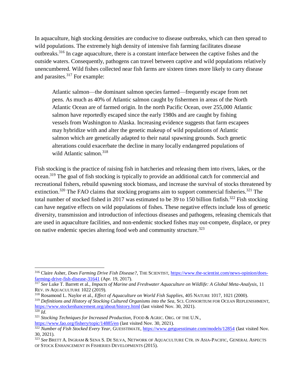In aquaculture, high stocking densities are conducive to disease outbreaks, which can then spread to wild populations. The extremely high density of intensive fish farming facilitates disease outbreaks.<sup>316</sup> In cage aquaculture, there is a constant interface between the captive fishes and the outside waters. Consequently, pathogens can travel between captive and wild populations relatively unencumbered. Wild fishes collected near fish farms are sixteen times more likely to carry disease and parasites.<sup>317</sup> For example:

Atlantic salmon—the dominant salmon species farmed—frequently escape from net pens. As much as 40% of Atlantic salmon caught by fishermen in areas of the North Atlantic Ocean are of farmed origin. In the north Pacific Ocean, over 255,000 Atlantic salmon have reportedly escaped since the early 1980s and are caught by fishing vessels from Washington to Alaska. Increasing evidence suggests that farm escapees may hybridize with and alter the genetic makeup of wild populations of Atlantic salmon which are genetically adapted to their natal spawning grounds. Such genetic alterations could exacerbate the decline in many locally endangered populations of wild Atlantic salmon.<sup>318</sup>

Fish stocking is the practice of raising fish in hatcheries and releasing them into rivers, lakes, or the ocean.<sup>319</sup> The goal of fish stocking is typically to provide an additional catch for commercial and recreational fishers, rebuild spawning stock biomass, and increase the survival of stocks threatened by extinction.<sup>320</sup> The FAO claims that stocking programs aim to support commercial fisheries.<sup>321</sup> The total number of stocked fished in 2017 was estimated to be 39 to 150 billion finfish.<sup>322</sup> Fish stocking can have negative effects on wild populations of fishes. These negative effects include loss of genetic diversity, transmission and introduction of infectious diseases and pathogens, releasing chemicals that are used in aquaculture facilities, and non-endemic stocked fishes may out-compete, displace, or prey on native endemic species altering food web and community structure.<sup>323</sup>

 $\overline{a}$ 

<sup>316</sup> Claire Asher, *Does Farming Drive Fish Disease?*, THE SCIENTIST[, https://www.the-scientist.com/news-opinion/does](https://www.the-scientist.com/news-opinion/does-farming-drive-fish-disease-31641)[farming-drive-fish-disease-31641](https://www.the-scientist.com/news-opinion/does-farming-drive-fish-disease-31641) (Apr. 19, 2017).

<sup>317</sup> *See* Luke T. Barrett et al., *Impacts of Marine and Freshwater Aquaculture on Wildlife: A Global Meta-Analysis*, 11 REV. IN AQUACULTURE 1022 (2019).

<sup>318</sup> Rosamond L. Naylor et al., *Effect of Aquaculture on World Fish Supplies*, 405 NATURE 1017, 1021 (2000).

<sup>319</sup> *Definitions and History of Stocking Cultured Organisms into the Sea*, SCI. CONSORTIUM FOR OCEAN REPLENISHMENT, <https://www.stockenhancement.org/about/history.html> (last visited Nov. 30, 2021).

<sup>320</sup> *Id*.

<sup>321</sup> *Stocking Techniques for Increased Production*, FOOD & AGRIC. ORG. OF THE U.N.*,*  <https://www.fao.org/fishery/topic/14885/en> (last visited Nov. 30, 2021).

<sup>322</sup> *Number of Fish Stocked Every Year*, GUESSTIMATE,<https://www.getguesstimate.com/models/12854> (last visited Nov. 30, 2021).

<sup>323</sup> *See* BRETT A. INGRAM & SENA S. DE SILVA, NETWORK OF AQUACULTURE CTR. IN ASIA-PACIFIC, GENERAL ASPECTS OF STOCK ENHANCEMENT IN FISHERIES DEVELOPMENTS (2015).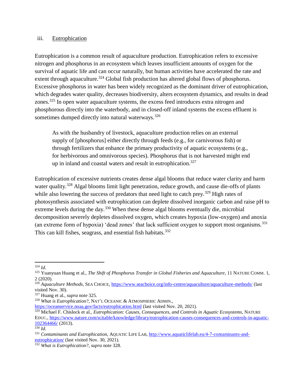#### iii. Eutrophication

Eutrophication is a common result of aquaculture production. Eutrophication refers to excessive nitrogen and phosphorus in an ecosystem which leaves insufficient amounts of oxygen for the survival of aquatic life and can occur naturally, but human activities have accelerated the rate and extent through aquaculture.<sup>324</sup> Global fish production has altered global flows of phosphorus. Excessive phosphorus in water has been widely recognized as the dominant driver of eutrophication, which degrades water quality, decreases biodiversity, alters ecosystem dynamics, and results in dead zones.<sup>325</sup> In open water aquaculture systems, the excess feed introduces extra nitrogen and phosphorous directly into the waterbody, and in closed-off inland systems the excess effluent is sometimes dumped directly into natural waterways.<sup>326</sup>

As with the husbandry of livestock, aquaculture production relies on an external supply of [phosphorus] either directly through feeds (e.g., for carnivorous fish) or through fertilizers that enhance the primary productivity of aquatic ecosystems (e.g., for herbivorous and omnivorous species). Phosphorus that is not harvested might end up in inland and coastal waters and result in eutrophication.<sup>327</sup>

Eutrophication of excessive nutrients creates dense algal blooms that reduce water clarity and harm water quality.<sup>328</sup> Algal blooms limit light penetration, reduce growth, and cause die-offs of plants while also lowering the success of predators that need light to catch prey.<sup>329</sup> High rates of photosynthesis associated with eutrophication can deplete dissolved inorganic carbon and raise pH to extreme levels during the day.<sup>330</sup> When these dense algal blooms eventually die, microbial decomposition severely depletes dissolved oxygen, which creates hypoxia (low-oxygen) and anoxia (an extreme form of hypoxia) 'dead zones' that lack sufficient oxygen to support most organisms.<sup>331</sup> This can kill fishes, seagrass, and essential fish habitats.<sup>332</sup>

 $\overline{a}$ <sup>324</sup> *Id*.

<sup>325</sup> Yuanyuan Huang et al., *The Shift of Phosphorus Transfer in Global Fisheries and Aquaculture*, 11 NATURE COMM. 1, 2 (2020).

<sup>326</sup> *Aquaculture Methods*, SEA CHOICE,<https://www.seachoice.org/info-centre/aquaculture/aquaculture-methods/> (last visited Nov. 30). <sup>327</sup> Huang et al., *supra* note 325.

<sup>328</sup> *What is Eutrophication?*, NAT'L OCEANIC & ATMOSPHERIC ADMIN.,

<https://oceanservice.noaa.gov/facts/eutrophication.html> (last visited Nov. 20, 2021).

<sup>&</sup>lt;sup>329</sup> Michael F. Chislock et al., *Eutrophication: Causes, Consequences, and Controls in Aquatic Ecosystems*, NATURE EDUC.[, https://www.nature.com/scitable/knowledge/library/eutrophication-causes-consequences-and-controls-in-aquatic-](https://www.nature.com/scitable/knowledge/library/eutrophication-causes-consequences-and-controls-in-aquatic-102364466/)[102364466/](https://www.nature.com/scitable/knowledge/library/eutrophication-causes-consequences-and-controls-in-aquatic-102364466/) (2013).

<sup>330</sup> *Id*.

<sup>331</sup> *Contaminants and Eutrophication*, AQUATIC LIFE LAB[, http://www.aquaticlifelab.eu/4-7-contaminants-and](http://www.aquaticlifelab.eu/4-7-contaminants-and-eutrophication/)[eutrophication/](http://www.aquaticlifelab.eu/4-7-contaminants-and-eutrophication/) (last visited Nov. 30, 2021).

<sup>332</sup> *What is Eutrophication?*, *supra* note 328.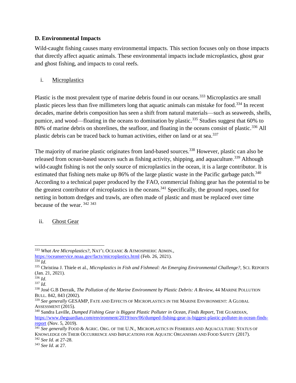#### <span id="page-40-0"></span>**D. Environmental Impacts**

Wild-caught fishing causes many environmental impacts. This section focuses only on those impacts that directly affect aquatic animals. These environmental impacts include microplastics, ghost gear and ghost fishing, and impacts to coral reefs.

#### i. Microplastics

Plastic is the most prevalent type of marine debris found in our oceans.<sup>333</sup> Microplastics are small plastic pieces less than five millimeters long that aquatic animals can mistake for food.<sup>334</sup> In recent decades, marine debris composition has seen a shift from natural materials—such as seaweeds, shells, pumice, and wood—floating in the oceans to domination by plastic.<sup>335</sup> Studies suggest that 60% to 80% of marine debris on shorelines, the seafloor, and floating in the oceans consist of plastic.<sup>336</sup> All plastic debris can be traced back to human activities, either on land or at sea.<sup>337</sup>

The majority of marine plastic originates from land-based sources.<sup>338</sup> However, plastic can also be released from ocean-based sources such as fishing activity, shipping, and aquaculture.<sup>339</sup> Although wild-caught fishing is not the only source of microplastics in the ocean, it is a large contributor. It is estimated that fishing nets make up 86% of the large plastic waste in the Pacific garbage patch.<sup>340</sup> According to a technical paper produced by the FAO, commercial fishing gear has the potential to be the greatest contributor of microplastics in the oceans.<sup>341</sup> Specifically, the ground ropes, used for netting in bottom dredges and trawls, are often made of plastic and must be replaced over time because of the wear. <sup>342</sup> <sup>343</sup>

ii. Ghost Gear

 $\overline{a}$ <sup>333</sup> *What Are Microplastics?*, NAT'L OCEANIC & ATMOSPHERIC ADMIN.,

<https://oceanservice.noaa.gov/facts/microplastics.html> (Feb. 26, 2021). <sup>334</sup> *Id*.

<sup>335</sup> Christina J. Thiele et al., *Microplastics in Fish and Fishmeal: An Emerging Environmental Challenge?*, SCI. REPORTS (Jan. 21, 2021).

<sup>336</sup> *Id*.

<sup>337</sup> *Id*.

<sup>338</sup> José G.B Derraik, *The Pollution of the Marine Environment by Plastic Debris: A Review*, 44 MARINE POLLUTION BULL. 842, 843 (2002).

<sup>339</sup> *See generally* GESAMP, FATE AND EFFECTS OF MICROPLASTICS IN THE MARINE ENVIRONMENT: A GLOBAL ASSESSMENT (2015).

<sup>340</sup> Sandra Laville, *Dumped Fishing Gear is Biggest Plastic Polluter in Ocean, Finds Report*, THE GUARDIAN, [https://www.theguardian.com/environment/2019/nov/06/dumped-fishing-gear-is-biggest-plastic-polluter-in-ocean-finds](https://www.theguardian.com/environment/2019/nov/06/dumped-fishing-gear-is-biggest-plastic-polluter-in-ocean-finds-report)[report](https://www.theguardian.com/environment/2019/nov/06/dumped-fishing-gear-is-biggest-plastic-polluter-in-ocean-finds-report) (Nov. 5, 2019).

<sup>341</sup> *See generally* FOOD & AGRIC. ORG. OF THE U.N., MICROPLASTICS IN FISHERIES AND AQUACULTURE: STATUS OF KNOWLEDGE ON THEIR OCCURRENCE AND IMPLICATIONS FOR AQUATIC ORGANISMS AND FOOD SAFETY (2017). <sup>342</sup> *See Id*. at 27-28.

<sup>343</sup> *See Id*. at 27.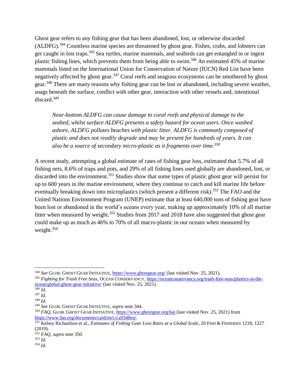Ghost gear refers to any fishing gear that has been abandoned, lost, or otherwise discarded (ALDFG).<sup>344</sup> Countless marine species are threatened by ghost gear. Fishes, crabs, and lobsters can get caught in lost traps.<sup>345</sup> Sea turtles, marine mammals, and seabirds can get entangled in or ingest plastic fishing lines, which prevents them from being able to swim.<sup>346</sup> An estimated 45% of marine mammals listed on the International Union for Conservation of Nature (IUCN) Red List have been negatively affected by ghost gear.<sup>347</sup> Coral reefs and seagrass ecosystems can be smothered by ghost gear.<sup>348</sup> There are many reasons why fishing gear can be lost or abandoned, including severe weather, snags beneath the surface, conflict with other gear, interaction with other vessels and, intentional discard.<sup>349</sup>

*Near-bottom ALDFG can cause damage to coral reefs and physical damage to the seabed, whilst surface ALDFG presents a safety hazard for ocean users. Once washed ashore, ALDFG pollutes beaches with plastic litter. ALDFG is commonly composed of plastic and does not readily degrade and may be present for hundreds of years. It can also be a source of secondary micro-plastic as it fragments over time.<sup>350</sup>*

A recent study, attempting a global estimate of rates of fishing gear loss, estimated that 5.7% of all fishing nets, 8.6% of traps and pots, and 29% of all fishing lines used globally are abandoned, lost, or discarded into the environment.<sup>351</sup> Studies show that some types of plastic ghost gear will persist for up to 600 years in the marine environment, where they continue to catch and kill marine life before eventually breaking down into microplastics (which present a different risk).<sup>352</sup> The FAO and the United Nations Environment Program (UNEP) estimate that at least 640,000 tons of fishing gear have been lost or abandoned in the world's oceans every year, making up approximately 10% of all marine litter when measured by weight.<sup>353</sup> Studies from 2017 and 2018 have also suggested that ghost gear could make up as much as 46% to 70% of all macro-plastic in our oceans when measured by weight.<sup>354</sup>

 $\overline{a}$ 

<sup>344</sup> *See* GLOB. GHOST GEAR INITIATIVE,<https://www.ghostgear.org/> (last visited Nov. 25, 2021).

<sup>345</sup> *Fighting for Trash Free Seas*, OCEAN CONSERVANCY[, https://oceanconservancy.org/trash-free-seas/plastics-in-the](https://oceanconservancy.org/trash-free-seas/plastics-in-the-ocean/global-ghost-gear-initiative/)[ocean/global-ghost-gear-initiative/](https://oceanconservancy.org/trash-free-seas/plastics-in-the-ocean/global-ghost-gear-initiative/) (last visited Nov. 25, 2021).

<sup>346</sup> *Id*.

<sup>347</sup> *Id*.

<sup>348</sup> *Id*.

<sup>349</sup> *See* GLOB. GHOST GEAR INITIATIVE, *supra* note 344.

<sup>350</sup> *FAQ*, GLOB. GHOST GEAR INITIATIVE,<https://www.ghostgear.org/faq> (last visited Nov. 25, 2021) from [https://www.fao.org/documents/card/en/c/ca9348en/.](https://www.fao.org/documents/card/en/c/ca9348en/)

<sup>351</sup> Kelsey Richardson et al., *Estimates of Fishing Gear Loss Rates at a Global Scale*, 20 FISH & FISHERIES 1218, 1227 (2019).

<sup>352</sup> *FAQ*, *supra* note 350.

 $353$  *Id.* <sup>354</sup> *Id*.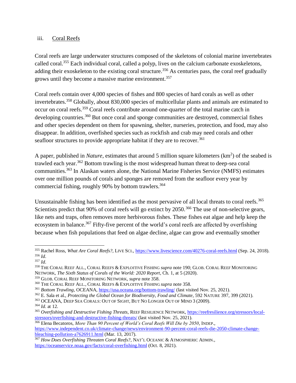#### iii. Coral Reefs

Coral reefs are large underwater structures composed of the skeletons of colonial marine invertebrates called coral.<sup>355</sup> Each individual coral, called a polyp, lives on the calcium carbonate exoskeletons, adding their exoskeleton to the existing coral structure.<sup>356</sup> As centuries pass, the coral reef gradually grows until they become a massive marine environment.<sup>357</sup>

Coral reefs contain over 4,000 species of fishes and 800 species of hard corals as well as other invertebrates.<sup>358</sup> Globally, about 830,000 species of multicellular plants and animals are estimated to occur on coral reefs.<sup>359</sup> Coral reefs contribute around one-quarter of the total marine catch in developing countries.<sup>360</sup> But once coral and sponge communities are destroyed, commercial fishes and other species dependent on them for spawning, shelter, nurseries, protection, and food, may also disappear. In addition, overfished species such as rockfish and crab may need corals and other seafloor structures to provide appropriate habitat if they are to recover.<sup>361</sup>

A paper, published in *Nature*, estimates that around 5 million square kilometers (km<sup>2</sup>) of the seabed is trawled each year.<sup>362</sup> Bottom trawling is the most widespread human threat to deep-sea coral communities.<sup>363</sup> In Alaskan waters alone, the National Marine Fisheries Service (NMFS) estimates over one million pounds of corals and sponges are removed from the seafloor every year by commercial fishing, roughly 90% by bottom trawlers.<sup>364</sup>

Unsustainable fishing has been identified as the most pervasive of all local threats to coral reefs.<sup>365</sup> Scientists predict that 90% of coral reefs will go extinct by 2050.<sup>366</sup> The use of non-selective gears, like nets and traps, often removes more herbivorous fishes. These fishes eat algae and help keep the ecosystem in balance.<sup>367</sup> Fifty-five percent of the world's coral reefs are affected by overfishing because when fish populations that feed on algae decline, algae can grow and eventually smother

 $\overline{a}$ <sup>355</sup> Rachel Ross, *What Are Coral Reefs?*, LIVE SCI.[, https://www.livescience.com/40276-coral-reefs.html](https://www.livescience.com/40276-coral-reefs.html) (Sep. 24, 2018). <sup>356</sup> *Id*.

<sup>357</sup> *Id*.

<sup>358</sup> THE CORAL REEF ALL., CORAL REEFS & EXPLOITIVE FISHING *supra* note 190; GLOB. CORAL REEF MONITORING NETWORK, *The Sixth Status of Corals of the World: 2020 Report*, Ch. 1, at 5 (2020).

<sup>359</sup> GLOB. CORAL REEF MONITORING NETWORK, *supra* note 358.

<sup>360</sup> THE CORAL REEF ALL., CORAL REEFS & EXPLOITIVE FISHING *supra* note 358.

<sup>&</sup>lt;sup>361</sup> *Bottom Trawling*, OCEANA,<https://usa.oceana.org/bottom-trawling/> (last visited Nov. 25, 2021).

<sup>362</sup> E. Sala et al., *Protecting the Global Ocean for Biodiversity, Food and Climate*, 592 NATURE 397, 399 (2021).

<sup>363</sup> OCEANA, DEEP SEA CORALS: OUT OF SIGHT, BUT NO LONGER OUT OF MIND 3 (2009).

<sup>364</sup> *Id*. at 12.

<sup>365</sup> *Overfishing and Destructive Fishing Threats*, REEF RESILIENCE NETWORK[, https://reefresilience.org/stressors/local](https://reefresilience.org/stressors/local-stressors/overfishing-and-destructive-fishing-threats/)[stressors/overfishing-and-destructive-fishing-threats/](https://reefresilience.org/stressors/local-stressors/overfishing-and-destructive-fishing-threats/) (last visited Nov. 25, 2021).

<sup>366</sup> Elena Becatoros, *More Than 90 Percent of World's Coral Reefs Will Die by 2050*, INDEP., [https://www.independent.co.uk/climate-change/news/environment-90-percent-coral-reefs-die-2050-climate-change](https://www.independent.co.uk/climate-change/news/environment-90-percent-coral-reefs-die-2050-climate-change-bleaching-pollution-a7626911.html)[bleaching-pollution-a7626911.html](https://www.independent.co.uk/climate-change/news/environment-90-percent-coral-reefs-die-2050-climate-change-bleaching-pollution-a7626911.html) (Mar. 13, 2017).

<sup>367</sup> *How Does Overfishing Threaten Coral Reefs?*, NAT'L OCEANIC & ATMOSPHERIC ADMIN., <https://oceanservice.noaa.gov/facts/coral-overfishing.html> (Oct. 8, 2021).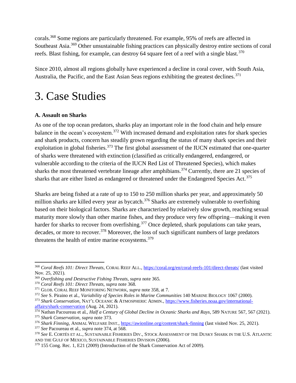corals.<sup>368</sup> Some regions are particularly threatened. For example, 95% of reefs are affected in Southeast Asia.<sup>369</sup> Other unsustainable fishing practices can physically destroy entire sections of coral reefs. Blast fishing, for example, can destroy 64 square feet of a reef with a single blast.<sup>370</sup>

Since 2010, almost all regions globally have experienced a decline in coral cover, with South Asia, Australia, the Pacific, and the East Asian Seas regions exhibiting the greatest declines.<sup>371</sup>

### <span id="page-43-0"></span>3. Case Studies

#### <span id="page-43-1"></span>**A. Assault on Sharks**

As one of the top ocean predators, sharks play an important role in the food chain and help ensure balance in the ocean's ecosystem.<sup>372</sup> With increased demand and exploitation rates for shark species and shark products, concern has steadily grown regarding the status of many shark species and their exploitation in global fisheries.<sup>373</sup> The first global assessment of the IUCN estimated that one-quarter of sharks were threatened with extinction (classified as critically endangered, endangered, or vulnerable according to the criteria of the IUCN Red List of Threatened Species), which makes sharks the most threatened vertebrate lineage after amphibians.<sup>374</sup> Currently, there are 21 species of sharks that are either listed as endangered or threatened under the Endangered Species Act.<sup>375</sup>

Sharks are being fished at a rate of up to 150 to 250 million sharks per year, and approximately 50 million sharks are killed every year as bycatch.<sup>376</sup> Sharks are extremely vulnerable to overfishing based on their biological factors. Sharks are characterized by relatively slow growth, reaching sexual maturity more slowly than other marine fishes, and they produce very few offspring—making it even harder for sharks to recover from overfishing.<sup>377</sup> Once depleted, shark populations can take years, decades, or more to recover.<sup>378</sup> Moreover, the loss of such significant numbers of large predators threatens the health of entire marine ecosystems.<sup>379</sup>

 $\overline{a}$ 

<sup>368</sup> *Coral Reefs 101: Direct Threats*, CORAL REEF ALL.[, https://coral.org/en/coral-reefs-101/direct-threats/](https://coral.org/en/coral-reefs-101/direct-threats/) (last visited Nov. 25, 2021).

<sup>369</sup> *Overfishing and Destructive Fishing Threats*, *supra* note 365.

<sup>370</sup> *Coral Reefs 101: Direct Threats, supra* note 368.

<sup>371</sup> GLOB. CORAL REEF MONITORING NETWORK, *supra* note 358, at 7.

<sup>372</sup> *See* S. Piraino et al., *Variability of Species Roles in Marine Communities* 140 MARINE BIOLOGY 1067 (2000).

<sup>373</sup> *Shark Conservation*, NAT'L OCEANIC & ATMOSPHERIC ADMIN., [https://www.fisheries.noaa.gov/international](https://www.fisheries.noaa.gov/international-affairs/shark-conservation)[affairs/shark-conservation](https://www.fisheries.noaa.gov/international-affairs/shark-conservation) (Aug. 24, 2021).

<sup>374</sup> Nathan Pacoureau et al., *Half a Century of Global Decline in Oceanic Sharks and Rays*, 589 NATURE 567, 567 (2021).

<sup>375</sup> *Shark Conservation*, *supra* note 373.

<sup>376</sup> *Shark Finning*, ANIMAL WELFARE INST.,<https://awionline.org/content/shark-finning> (last visited Nov. 25, 2021).

<sup>377</sup> *See* Pacoureau et al., *supra* note 374, at 568.

<sup>378</sup> *See* E. CORTÉS ET AL., SUSTAINABLE FISHERIES DIV., STOCK ASSESSMENT OF THE DUSKY SHARK IN THE U.S. ATLANTIC AND THE GULF OF MEXICO, SUSTAINABLE FISHERIES DIVISION (2006).

<sup>379</sup> 155 Cong. Rec. 1, E21 (2009) (Introduction of the Shark Conservation Act of 2009).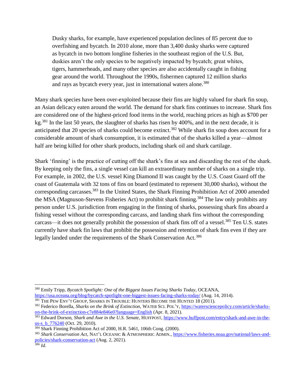Dusky sharks, for example, have experienced population declines of 85 percent due to overfishing and bycatch. In 2010 alone, more than 3,400 dusky sharks were captured as bycatch in two bottom longline fisheries in the southeast region of the U.S. But, duskies aren't the only species to be negatively impacted by bycatch; great whites, tigers, hammerheads, and many other species are also accidentally caught in fishing gear around the world. Throughout the 1990s, fishermen captured 12 million sharks and rays as bycatch every year, just in international waters alone.<sup>380</sup>

Many shark species have been over-exploited because their fins are highly valued for shark fin soup, an Asian delicacy eaten around the world. The demand for shark fins continues to increase. Shark fins are considered one of the highest-priced food items in the world, reaching prices as high as \$700 per kg.<sup>381</sup> In the last 50 years, the slaughter of sharks has risen by 400%, and in the next decade, it is anticipated that 20 species of sharks could become extinct.<sup>382</sup> While shark fin soup does account for a considerable amount of shark consumption, it is estimated that of the sharks killed a year—almost half are being killed for other shark products, including shark oil and shark cartilage.

Shark 'finning' is the practice of cutting off the shark's fins at sea and discarding the rest of the shark. By keeping only the fins, a single vessel can kill an extraordinary number of sharks on a single trip. For example, in 2002, the U.S. vessel King Diamond II was caught by the U.S. Coast Guard off the coast of Guatemala with 32 tons of fins on board (estimated to represent 30,000 sharks), without the corresponding carcasses.<sup>383</sup> In the United States, the Shark Finning Prohibition Act of 2000 amended the MSA (Magnuson-Stevens Fisheries Act) to prohibit shark finning.<sup>384</sup> The law only prohibits any person under U.S. jurisdiction from engaging in the finning of sharks, possessing shark fins aboard a fishing vessel without the corresponding carcass, and landing shark fins without the corresponding carcass—it does not generally prohibit the possession of shark fins off of a vessel.<sup>385</sup> Ten U.S. states currently have shark fin laws that prohibit the possession and retention of shark fins even if they are legally landed under the requirements of the Shark Conservation Act.<sup>386</sup>

<sup>380</sup> Emily Tripp, *Bycatch Spotlight: One of the Biggest Issues Facing Sharks Today*, OCEANA, <https://usa.oceana.org/blog/bycatch-spotlight-one-biggest-issues-facing-sharks-today/> (Aug. 14, 2014).

<sup>&</sup>lt;sup>381</sup> THE PEW ENV'T GROUP, SHARKS IN TROUBLE: HUNTERS BECOME THE HUNTED 18 (2011).

<sup>382</sup> Federico Borella, *Sharks on the Brink of Extinction*, WATER SCI. POL'Y, [https://watersciencepolicy.com/article/sharks](https://watersciencepolicy.com/article/sharks-on-the-brink-of-extinction-c7e884e846e0?language=English)[on-the-brink-of-extinction-c7e884e846e0?language=English](https://watersciencepolicy.com/article/sharks-on-the-brink-of-extinction-c7e884e846e0?language=English) (Apr. 8, 2021).

<sup>383</sup> Edward Dorson, *Shark and Awe in the U.S. Senate*, HUFFPOST, [https://www.huffpost.com/entry/shark-and-awe-in-the](https://www.huffpost.com/entry/shark-and-awe-in-the-us-s_b_776240)us-s<sub>b\_776240</sub> (Oct. 29, 2010).

<sup>&</sup>lt;sup>384</sup> Shark Finning Prohibition Act of 2000, H.R. 5461, 106th Cong. (2000).

<sup>385</sup> *Shark Conservation Act*, NAT'L OCEANIC & ATMOSPHERIC ADMIN.[, https://www.fisheries.noaa.gov/national/laws-and](https://www.fisheries.noaa.gov/national/laws-and-policies/shark-conservation-act)[policies/shark-conservation-act](https://www.fisheries.noaa.gov/national/laws-and-policies/shark-conservation-act) (Aug. 2, 2021). <sup>386</sup> *Id*.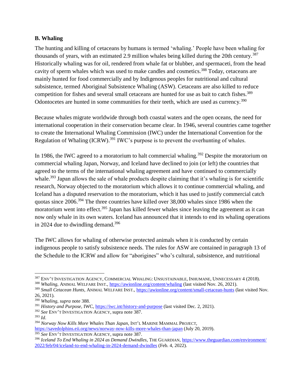#### <span id="page-45-0"></span>**B. Whaling**

The hunting and killing of cetaceans by humans is termed 'whaling.' People have been whaling for thousands of years, with an estimated 2.9 million whales being killed during the 20th century.<sup>387</sup> Historically whaling was for oil, rendered from whale fat or blubber, and spermaceti, from the head cavity of sperm whales which was used to make candles and cosmetics.<sup>388</sup> Today, cetaceans are mainly hunted for food commercially and by Indigenous peoples for nutritional and cultural subsistence, termed Aboriginal Subsistence Whaling (ASW). Cetaceans are also killed to reduce competition for fishes and several small cetaceans are hunted for use as bait to catch fishes. 389 Odontocetes are hunted in some communities for their teeth, which are used as currency.<sup>390</sup>

Because whales migrate worldwide through both coastal waters and the open oceans, the need for international cooperation in their conservation became clear. In 1946, several countries came together to create the International Whaling Commission (IWC) under the International Convention for the Regulation of Whaling  $(ICRW)$ .<sup>391</sup> IWC's purpose is to prevent the overhunting of whales.

In 1986, the IWC agreed to a moratorium to halt commercial whaling.<sup>392</sup> Despite the moratorium on commercial whaling Japan, Norway, and Iceland have declined to join (or left) the countries that agreed to the terms of the international whaling agreement and have continued to commercially whale.<sup>393</sup> Japan allows the sale of whale products despite claiming that it's whaling is for scientific research, Norway objected to the moratorium which allows it to continue commercial whaling, and Iceland has a disputed reservation to the moratorium, which it has used to justify commercial catch quotas since 2006.<sup>394</sup> The three countries have killed over 38,000 whales since 1986 when the moratorium went into effect.<sup>395</sup> Japan has killed fewer whales since leaving the agreement as it can now only whale in its own waters. Iceland has announced that it intends to end its whaling operations in 2024 due to dwindling demand.<sup>396</sup>

The IWC allows for whaling of otherwise protected animals when it is conducted by certain indigenous people to satisfy subsistence needs. The rules for ASW are contained in paragraph 13 of the Schedule to the ICRW and allow for "aborigines" who's cultural, subsistence, and nutritional

 $\overline{\phantom{a}}$ 

<sup>395</sup> *See* ENV'T INVESTIGATION AGENCY, supra note 387.

<sup>&</sup>lt;sup>387</sup> ENV'T INVESTIGATION AGENCY, COMMERCIAL WHALING: UNSUSTAINABLE, INHUMANE, UNNECESSARY 4 (2018).

<sup>&</sup>lt;sup>388</sup> *Whaling*, ANIMAL WELFARE INST.,<https://awionline.org/content/whaling> (last visited Nov. 26, 2021).

<sup>389</sup> *Small Cetacean Hunts*, ANIMAL WELFARE INST.[, https://awionline.org/content/small-cetacean-hunts](https://awionline.org/content/small-cetacean-hunts) (last visited Nov. 26, 2021).

<sup>390</sup> *Whaling*, *supra* note 388.

<sup>391</sup> *History and Purpose*, IWC,<https://iwc.int/history-and-purpose> (last visited Dec. 2, 2021).

<sup>392</sup> *See* ENV'T INVESTIGATION AGENCY, supra note 387.

<sup>393</sup> *Id*.

<sup>394</sup> *Norway Now Kills More Whales Than Japan*, INT'L MARINE MAMMAL PROJECT, <https://savedolphins.eii.org/news/norway-now-kills-more-whales-than-japan> (July 20, 2019).

<sup>396</sup> *Iceland To End Whaling in 2024 as Demand Dwindles*, THE GUARDIAN[, https://www.theguardian.com/environment/](https://www.theguardian.com/environment/%202022/feb/04/iceland-to-end-whaling-in-2024-demand-dwindles)  [2022/feb/04/iceland-to-end-whaling-in-2024-demand-dwindles](https://www.theguardian.com/environment/%202022/feb/04/iceland-to-end-whaling-in-2024-demand-dwindles) (Feb. 4, 2022).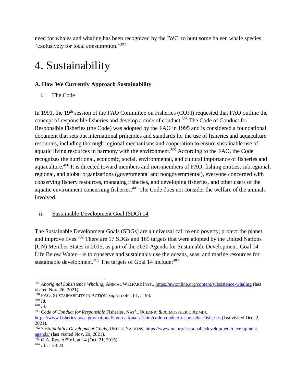need for whales and whaling has been recognized by the IWC, to hunt some baleen whale species "exclusively for local consumption."<sup>397</sup>

### <span id="page-46-0"></span>4. Sustainability

#### <span id="page-46-1"></span>**A. How We Currently Approach Sustainability**

i. The Code

In 1991, the 19<sup>th</sup> session of the FAO Committee on Fisheries (COFI) requested that FAO outline the concept of responsible fisheries and develop a code of conduct.<sup>398</sup> The Code of Conduct for Responsible Fisheries (the Code) was adopted by the FAO in 1995 and is considered a foundational document that sets out international principles and standards for the use of fisheries and aquaculture resources, including thorough regional mechanisms and cooperation to ensure sustainable use of aquatic living resources in harmony with the environment.<sup>399</sup> According to the FAO, the Code recognizes the nutritional, economic, social, environmental, and cultural importance of fisheries and aquaculture.<sup>400</sup> It is directed toward members and non-members of FAO, fishing entities, subregional, regional, and global organizations (governmental and nongovernmental), everyone concerned with conserving fishery resources, managing fisheries, and developing fisheries, and other users of the aquatic environment concerning fisheries.<sup>401</sup> The Code does not consider the welfare of the animals involved.

#### ii. Sustainable Development Goal (SDG) 14

The Sustainable Development Goals (SDGs) are a universal call to end poverty, protect the planet, and improve lives.<sup>402</sup> There are 17 SDGs and 169 targets that were adopted by the United Nations (UN) Member States in 2015, as part of the 2030 Agenda for Sustainable Development. Goal 14— Life Below Water—is to conserve and sustainably use the oceans, seas, and marine resources for sustainable development. $403$  The targets of Goal 14 include: $404$ 

 $\overline{\phantom{a}}$ <sup>397</sup> *Aboriginal Subsistence Whaling*, ANIMAL WELFARE INST.,<https://awionline.org/content/subsistence-whaling> (last visited Nov. 26, 2021).

<sup>398</sup> FAO, SUSTAINABILITY IN ACTION, *supra* note 181, at 93.

<sup>399</sup> *Id*.

<sup>400</sup> *Id*.

<sup>401</sup> *Code of Conduct for Responsible* Fisheries, NAT'L OCEANIC & ATMOSPHERIC ADMIN.,

<https://www.fisheries.noaa.gov/national/international-affairs/code-conduct-responsible-fisheries> (last visited Dec. 2, 2021).

<sup>402</sup> *Sustainability Development Goals*, UNITED NATIONS[, https://www.un.org/sustainabledevelopment/development](https://www.un.org/sustainabledevelopment/development-agenda/)[agenda/](https://www.un.org/sustainabledevelopment/development-agenda/) (last visited Nov. 29, 2021).

<sup>403</sup> G.A. Res. A/70/1, at 14 (Oct. 21, 2015).

<sup>404</sup> *Id*. at 23-24.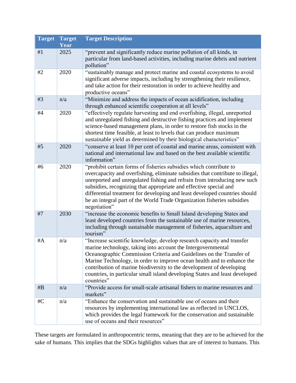| <b>Target</b> | <b>Target</b><br>Year | <b>Target Description</b>                                                                                                                                                                                                                                                                                                                                                                                                                                                     |
|---------------|-----------------------|-------------------------------------------------------------------------------------------------------------------------------------------------------------------------------------------------------------------------------------------------------------------------------------------------------------------------------------------------------------------------------------------------------------------------------------------------------------------------------|
| #1            | 2025                  | "prevent and significantly reduce marine pollution of all kinds, in<br>particular from land-based activities, including marine debris and nutrient<br>pollution"                                                                                                                                                                                                                                                                                                              |
| #2            | 2020                  | "sustainably manage and protect marine and coastal ecosystems to avoid<br>significant adverse impacts, including by strengthening their resilience,<br>and take action for their restoration in order to achieve healthy and<br>productive oceans"                                                                                                                                                                                                                            |
| #3            | n/a                   | "Minimize and address the impacts of ocean acidification, including<br>through enhanced scientific cooperation at all levels"                                                                                                                                                                                                                                                                                                                                                 |
| #4            | 2020                  | "effectively regulate harvesting and end overfishing, illegal, unreported<br>and unregulated fishing and destructive fishing practices and implement<br>science-based management plans, in order to restore fish stocks in the<br>shortest time feasible, at least to levels that can produce maximum<br>sustainable yield as determined by their biological characteristics"                                                                                                 |
| #5            | 2020                  | "conserve at least 10 per cent of coastal and marine areas, consistent with<br>national and international law and based on the best available scientific<br>information"                                                                                                                                                                                                                                                                                                      |
| #6            | 2020                  | "prohibit certain forms of fisheries subsidies which contribute to<br>overcapacity and overfishing, eliminate subsidies that contribute to illegal,<br>unreported and unregulated fishing and refrain from introducing new such<br>subsidies, recognizing that appropriate and effective special and<br>differential treatment for developing and least developed countries should<br>be an integral part of the World Trade Organization fisheries subsidies<br>negotiation" |
| #7            | 2030                  | "increase the economic benefits to Small Island developing States and<br>least developed countries from the sustainable use of marine resources,<br>including through sustainable management of fisheries, aquaculture and<br>tourism"                                                                                                                                                                                                                                        |
| #A            | n/a                   | "Increase scientific knowledge, develop research capacity and transfer<br>marine technology, taking into account the Intergovernmental<br>Oceanographic Commission Criteria and Guidelines on the Transfer of<br>Marine Technology, in order to improve ocean health and to enhance the<br>contribution of marine biodiversity to the development of developing<br>countries, in particular small island developing States and least developed<br>countries"                  |
| #B            | n/a                   | "Provide access for small-scale artisanal fishers to marine resources and<br>markets"                                                                                                                                                                                                                                                                                                                                                                                         |
| #C            | n/a                   | "Enhance the conservation and sustainable use of oceans and their<br>resources by implementing international law as reflected in UNCLOS,<br>which provides the legal framework for the conservation and sustainable<br>use of oceans and their resources"                                                                                                                                                                                                                     |

These targets are formulated in anthropocentric terms, meaning that they are to be achieved for the sake of humans. This implies that the SDGs highlights values that are of interest to humans. This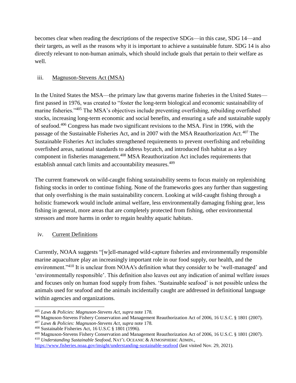becomes clear when reading the descriptions of the respective SDGs—in this case, SDG 14—and their targets, as well as the reasons why it is important to achieve a sustainable future. SDG 14 is also directly relevant to non-human animals, which should include goals that pertain to their welfare as well.

#### iii. Magnuson-Stevens Act (MSA)

In the United States the MSA—the primary law that governs marine fisheries in the United States first passed in 1976, was created to "foster the long-term biological and economic sustainability of marine fisheries."<sup>405</sup> The MSA's objectives include preventing overfishing, rebuilding overfished stocks, increasing long-term economic and social benefits, and ensuring a safe and sustainable supply of seafood.<sup>406</sup> Congress has made two significant revisions to the MSA. First in 1996, with the passage of the Sustainable Fisheries Act, and in 2007 with the MSA Reauthorization Act.<sup>407</sup> The Sustainable Fisheries Act includes strengthened requirements to prevent overfishing and rebuilding overfished areas, national standards to address bycatch, and introduced fish habitat as a key component in fisheries management.<sup>408</sup> MSA Reauthorization Act includes requirements that establish annual catch limits and accountability measures.<sup>409</sup>

The current framework on wild-caught fishing sustainability seems to focus mainly on replenishing fishing stocks in order to continue fishing. None of the frameworks goes any further than suggesting that only overfishing is the main sustainability concern. Looking at wild-caught fishing through a holistic framework would include animal welfare, less environmentally damaging fishing gear, less fishing in general, more areas that are completely protected from fishing, other environmental stressors and more harms in order to regain healthy aquatic habitats.

#### iv. Current Definitions

Currently, NOAA suggests "[w]ell-managed wild-capture fisheries and environmentally responsible marine aquaculture play an increasingly important role in our food supply, our health, and the environment."<sup>410</sup> It is unclear from NOAA's definition what they consider to be 'well-managed' and 'environmentally responsible'. This definition also leaves out any indication of animal welfare issues and focuses only on human food supply from fishes. 'Sustainable seafood' is not possible unless the animals used for seafood and the animals incidentally caught are addressed in definitional language within agencies and organizations.

 $\overline{\phantom{a}}$ <sup>405</sup> *Laws & Policies: Magnuson-Stevens Act*, *supra* note 178.

<sup>406</sup> Magnuson-Stevens Fishery Conservation and Management Reauthorization Act of 2006, 16 U.S.C. § 1801 (2007).

<sup>407</sup> *Laws & Policies: Magnuson-Stevens Act*, *supra* note 178.

<sup>408</sup> Sustainable Fisheries Act, 16 U.S.C § 1801 (1996).

<sup>409</sup> Magnuson-Stevens Fishery Conservation and Management Reauthorization Act of 2006, 16 U.S.C. § 1801 (2007). <sup>410</sup> *Understanding Sustainable Seafood*, NAT'L OCEANIC & ATMOSPHERIC ADMIN.,

<https://www.fisheries.noaa.gov/insight/understanding-sustainable-seafood> (last visited Nov. 29, 2021).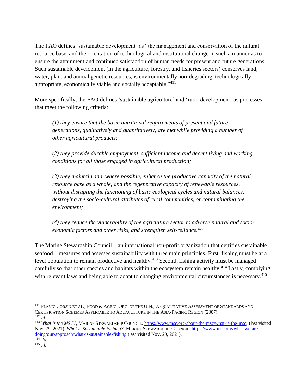The FAO defines 'sustainable development' as "the management and conservation of the natural resource base, and the orientation of technological and institutional change in such a manner as to ensure the attainment and continued satisfaction of human needs for present and future generations. Such sustainable development (in the agriculture, forestry, and fisheries sectors) conserves land, water, plant and animal genetic resources, is environmentally non-degrading, technologically appropriate, economically viable and socially acceptable."<sup>411</sup>

More specifically, the FAO defines 'sustainable agriculture' and 'rural development' as processes that meet the following criteria:

*(1) they ensure that the basic nutritional requirements of present and future generations, qualitatively and quantitatively, are met while providing a number of other agricultural products;* 

*(2) they provide durable employment, sufficient income and decent living and working conditions for all those engaged in agricultural production;* 

*(3) they maintain and, where possible, enhance the productive capacity of the natural resource base as a whole, and the regenerative capacity of renewable resources, without disrupting the functioning of basic ecological cycles and natural balances, destroying the socio-cultural attributes of rural communities, or contaminating the environment;* 

*(4) they reduce the vulnerability of the agriculture sector to adverse natural and socioeconomic factors and other risks, and strengthen self-reliance.<sup>412</sup>*

The Marine Stewardship Council—an international non-profit organization that certifies sustainable seafood—measures and assesses sustainability with three main principles. First, fishing must be at a level population to remain productive and healthy.<sup>413</sup> Second, fishing activity must be managed carefully so that other species and habitats within the ecosystem remain healthy.<sup>414</sup> Lastly, complying with relevant laws and being able to adapt to changing environmental circumstances is necessary.<sup>415</sup>

 $\overline{\phantom{a}}$ 

<sup>411</sup> FLAVIO CORSIN ET AL., FOOD & AGRIC. ORG. OF THE U.N., A QUALITATIVE ASSESSMENT OF STANDARDS AND CERTIFICATION SCHEMES APPLICABLE TO AQUACULTURE IN THE ASIA-PACIFIC REGION (2007). <sup>412</sup> *Id*.

<sup>413</sup> *What is the MSC?*, MARINE STEWARDSHIP COUNCIL, [https://www.msc.org/about-the-msc/what-is-the-msc;](https://www.msc.org/about-the-msc/what-is-the-msc) (last visited Nov. 29, 2021); *What is Sustainable Fishing?*, MARINE STEWARDSHIP COUNCIL[, https://www.msc.org/what-we-are](https://www.msc.org/what-we-are-doing/our-approach/what-is-sustainable-fishing)[doing/our-approach/what-is-sustainable-fishing](https://www.msc.org/what-we-are-doing/our-approach/what-is-sustainable-fishing) (last visited Nov. 29, 2021).

<sup>414</sup> *Id*. <sup>415</sup> *Id*.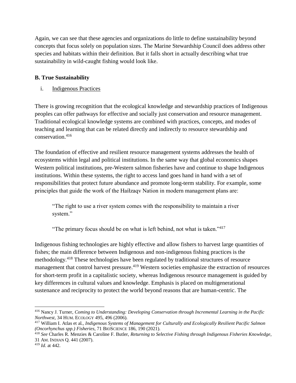Again, we can see that these agencies and organizations do little to define sustainability beyond concepts that focus solely on population sizes. The Marine Stewardship Council does address other species and habitats within their definition. But it falls short in actually describing what true sustainability in wild-caught fishing would look like.

#### <span id="page-50-0"></span>**B. True Sustainability**

i. Indigenous Practices

There is growing recognition that the ecological knowledge and stewardship practices of Indigenous peoples can offer pathways for effective and socially just conservation and resource management. Traditional ecological knowledge systems are combined with practices, concepts, and modes of teaching and learning that can be related directly and indirectly to resource stewardship and conservation.<sup>416</sup>

The foundation of effective and resilient resource management systems addresses the health of ecosystems within legal and political institutions. In the same way that global economics shapes Western political institutions, pre-Western salmon fisheries have and continue to shape Indigenous institutions. Within these systems, the right to access land goes hand in hand with a set of responsibilities that protect future abundance and promote long-term stability. For example, some principles that guide the work of the Haíłzaqv Nation in modern management plans are:

"The right to use a river system comes with the responsibility to maintain a river system."

"The primary focus should be on what is left behind, not what is taken."<sup> $417$ </sup>

Indigenous fishing technologies are highly effective and allow fishers to harvest large quantities of fishes; the main difference between Indigenous and non-indigenous fishing practices is the methodology.<sup>418</sup> These technologies have been regulated by traditional structures of resource management that control harvest pressure.<sup>419</sup> Western societies emphasize the extraction of resources for short-term profit in a capitalistic society, whereas Indigenous resource management is guided by key differences in cultural values and knowledge. Emphasis is placed on multigenerational sustenance and reciprocity to protect the world beyond reasons that are human-centric. The

 $\overline{\phantom{a}}$ 

<sup>416</sup> Nancy J. Turner, *Coming to Understanding: Developing Conservation through Incremental Learning in the Pacific Northwest*, 34 HUM. ECOLOGY 495, 496 (2006).

<sup>417</sup> William I. Atlas et al., *Indigenous Systems of Management for Culturally and Ecologically Resilient Pacific Salmon (Oncorhynchus spp.) Fisheries*, 71 BIOSCIENCE 186, 190 (2021).

<sup>418</sup> *See* Charles R. Menzies & Caroline F. Butler, *Returning to Selective Fishing through Indigenous Fisheries Knowledge*, 31 AM. INDIAN Q. 441 (2007).

<sup>419</sup> *Id*. at 442.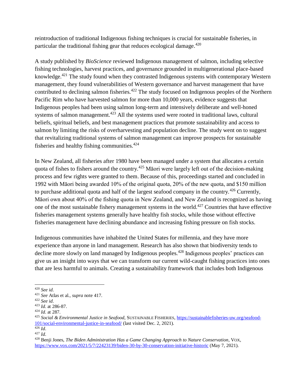reintroduction of traditional Indigenous fishing techniques is crucial for sustainable fisheries, in particular the traditional fishing gear that reduces ecological damage.<sup>420</sup>

A study published by *BioScience* reviewed Indigenous management of salmon, including selective fishing technologies, harvest practices, and governance grounded in multigenerational place-based knowledge.<sup>421</sup> The study found when they contrasted Indigenous systems with contemporary Western management, they found vulnerabilities of Western governance and harvest management that have contributed to declining salmon fisheries.<sup>422</sup> The study focused on Indigenous peoples of the Northern Pacific Rim who have harvested salmon for more than 10,000 years, evidence suggests that Indigenous peoples had been using salmon long-term and intensively deliberate and well-honed systems of salmon management.<sup>423</sup> All the systems used were rooted in traditional laws, cultural beliefs, spiritual beliefs, and best management practices that promote sustainability and access to salmon by limiting the risks of overharvesting and population decline. The study went on to suggest that revitalizing traditional systems of salmon management can improve prospects for sustainable fisheries and healthy fishing communities. $424$ 

In New Zealand, all fisheries after 1980 have been managed under a system that allocates a certain quota of fishes to fishers around the country.<sup>425</sup> Māori were largely left out of the decision-making process and few rights were granted to them. Because of this, proceedings started and concluded in 1992 with Māori being awarded 10% of the original quota, 20% of the new quota, and \$150 million to purchase additional quota and half of the largest seafood company in the country.<sup>426</sup> Currently, Māori own about 40% of the fishing quota in New Zealand, and New Zealand is recognized as having one of the most sustainable fishery management systems in the world.<sup>427</sup> Countries that have effective fisheries management systems generally have healthy fish stocks, while those without effective fisheries management have declining abundance and increasing fishing pressure on fish stocks.

Indigenous communities have inhabited the United States for millennia, and they have more experience than anyone in land management. Research has also shown that biodiversity tends to decline more slowly on land managed by Indigenous peoples.<sup>428</sup> Indigenous peoples' practices can give us an insight into ways that we can transform our current wild-caught fishing practices into ones that are less harmful to animals. Creating a sustainability framework that includes both Indigenous

<sup>420</sup> *See id*.

<sup>421</sup> *See* Atlas et al., *supra* note 417.

<sup>422</sup> *See id*.

<sup>423</sup> *Id*. at 286-87.

<sup>424</sup> *Id*. at 287.

<sup>425</sup> *Social & Environmental Justice in Seafood*, SUSTAINABLE FISHERIES[, https://sustainablefisheries-uw.org/seafood-](https://sustainablefisheries-uw.org/seafood-101/social-environmental-justice-in-seafood/)[101/social-environmental-justice-in-seafood/](https://sustainablefisheries-uw.org/seafood-101/social-environmental-justice-in-seafood/) (last visited Dec. 2, 2021).  $\frac{426}{1}$ *Id.* 

<sup>427</sup> *Id*.

<sup>428</sup> Benji Jones, *The Biden Administration Has a Game Changing Approach to Nature Conservation*, VOX, <https://www.vox.com/2021/5/7/22423139/biden-30-by-30-conservation-initiative-historic> (May 7, 2021).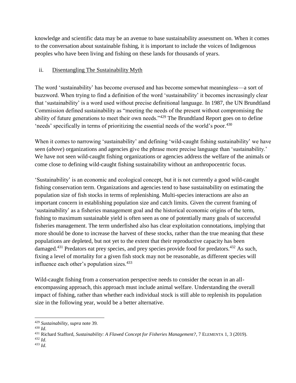knowledge and scientific data may be an avenue to base sustainability assessment on. When it comes to the conversation about sustainable fishing, it is important to include the voices of Indigenous peoples who have been living and fishing on these lands for thousands of years.

#### ii. Disentangling The Sustainability Myth

The word 'sustainability' has become overused and has become somewhat meaningless—a sort of buzzword. When trying to find a definition of the word 'sustainability' it becomes increasingly clear that 'sustainability' is a word used without precise definitional language. In 1987, the UN Brundtland Commission defined sustainability as "meeting the needs of the present without compromising the ability of future generations to meet their own needs."<sup>429</sup> The Brundtland Report goes on to define 'needs' specifically in terms of prioritizing the essential needs of the world's poor.<sup>430</sup>

When it comes to narrowing 'sustainability' and defining 'wild-caught fishing sustainability' we have seen (*above*) organizations and agencies give the phrase more precise language than 'sustainability.' We have not seen wild-caught fishing organizations or agencies address the welfare of the animals or come close to defining wild-caught fishing sustainability without an anthropocentric focus.

'Sustainability' is an economic and ecological concept, but it is not currently a good wild-caught fishing conservation term. Organizations and agencies tend to base sustainability on estimating the population size of fish stocks in terms of replenishing. Multi-species interactions are also an important concern in establishing population size and catch limits. Given the current framing of 'sustainability' as a fisheries management goal and the historical economic origins of the term, fishing to maximum sustainable yield is often seen as one of potentially many goals of successful fisheries management. The term underfished also has clear exploitation connotations, implying that more should be done to increase the harvest of these stocks, rather than the true meaning that these populations are depleted, but not yet to the extent that their reproductive capacity has been damaged.<sup>431</sup> Predators eat prey species, and prey species provide food for predators.<sup>432</sup> As such, fixing a level of mortality for a given fish stock may not be reasonable, as different species will influence each other's population sizes.<sup>433</sup>

Wild-caught fishing from a conservation perspective needs to consider the ocean in an allencompassing approach, this approach must include animal welfare. Understanding the overall impact of fishing, rather than whether each individual stock is still able to replenish its population size in the following year, would be a better alternative.

<sup>429</sup> *Sustainability*, *supra* note 39.

<sup>430</sup> *Id*.

<sup>431</sup> Richard Stafford, *Sustainability: A Flawed Concept for Fisheries Management?*, 7 ELEMENTA 1, 3 (2019).

<sup>432</sup> *Id*. <sup>433</sup> *Id*.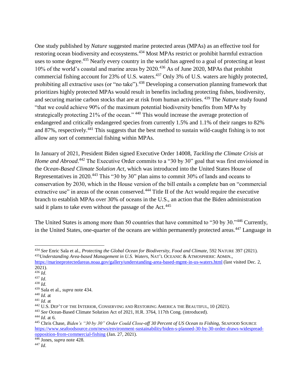One study published by *Nature* suggested marine protected areas (MPAs) as an effective tool for restoring ocean biodiversity and ecosystems.<sup>434</sup> Most MPAs restrict or prohibit harmful extraction uses to some degree.<sup>435</sup> Nearly every country in the world has agreed to a goal of protecting at least 10% of the world's coastal and marine areas by 2020.<sup>436</sup> As of June 2020, MPAs that prohibit commercial fishing account for 23% of U.S. waters.<sup>437</sup> Only 3% of U.S. waters are highly protected, prohibiting all extractive uses (or "no take").<sup>438</sup> Developing a conservation planning framework that prioritizes highly protected MPAs would result in benefits including protecting fishes, biodiversity, and securing marine carbon stocks that are at risk from human activities. <sup>439</sup> The *Nature* study found "that we could achieve 90% of the maximum potential biodiversity benefits from MPAs by strategically protecting 21% of the ocean." <sup>440</sup> This would increase the average protection of endangered and critically endangered species from currently 1.5% and 1.1% of their ranges to 82% and 87%, respectively.<sup>441</sup> This suggests that the best method to sustain wild-caught fishing is to not allow any sort of commercial fishing within MPAs.

In January of 2021, President Biden signed Executive Order 14008, *Tackling the Climate Crisis at*  Home and Abroad.<sup>442</sup> The Executive Order commits to a "30 by 30" goal that was first envisioned in the *Ocean-Based Climate Solution Act*, which was introduced into the United States House of Representatives in 2020.<sup>443</sup> This "30 by 30" plan aims to commit 30% of lands and oceans to conservation by 2030, which in the House version of the bill entails a complete ban on "commercial extractive use" in areas of the ocean conserved.<sup>444</sup> Title II of the Act would require the executive branch to establish MPAs over 30% of oceans in the U.S., an action that the Biden administration said it plans to take even without the passage of the Act.<sup>445</sup>

The United States is among more than 50 countries that have committed to "30 by 30."<sup>446</sup> Currently, in the United States, one-quarter of the oceans are within permanently protected areas.<sup>447</sup> Language in

 $\overline{\phantom{a}}$ <sup>434</sup> *See* Enric Sala et al., *Protecting the Global Ocean for Biodiversity, Food and Climate*, 592 NATURE 397 (2021). <sup>435</sup>*Understanding Area-based Management in U.S. Waters*, NAT'L OCEANIC & ATMOSPHERIC ADMIN.,

<https://marineprotectedareas.noaa.gov/gallery/understanding-area-based-mgmt-in-us-waters.html> (last visited Dec. 2, 2021).

 $436$  *Id.* 

<sup>437</sup> *Id*.

<sup>438</sup> *Id*.

<sup>439</sup> Sala et al., *supra* note 434.

<sup>440</sup> *Id*. at

<sup>441</sup> *Id*. at

<sup>442</sup> U.S. DEP'T OF THE INTERIOR, CONSERVING AND RESTORING AMERICA THE BEAUTIFUL, 10 (2021).

<sup>443</sup> *See* Ocean-Based Climate Solution Act of 2021, H.R. 3764, 117th Cong. (introduced).

<sup>444</sup> *Id*. at 6.

<sup>445</sup> Chris Chase, *Biden's "30 by 30" Order Could Close-off 30 Percent of US Ocean to Fishing*, SEAFOOD SOURCE [https://www.seafoodsource.com/news/environment-sustainability/biden-s-planned-30-by-30-order-draws-widespread](https://www.seafoodsource.com/news/environment-sustainability/biden-s-planned-30-by-30-order-draws-widespread-opposition-from-commercial-fishing)[opposition-from-commercial-fishing](https://www.seafoodsource.com/news/environment-sustainability/biden-s-planned-30-by-30-order-draws-widespread-opposition-from-commercial-fishing) (Jan. 27, 2021).

<sup>446</sup> Jones, *supra* note 428.

<sup>447</sup> *Id*.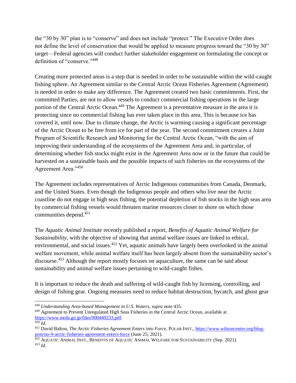the "30 by 30" plan is to "conserve" and does not include "protect." The Executive Order does not define the level of conservation that would be applied to measure progress toward the "30 by 30" target—Federal agencies will conduct further stakeholder engagement on formulating the concept or definition of "conserve."<sup>448</sup>

Creating more protected areas is a step that is needed in order to be sustainable within the wild-caught fishing sphere. An Agreement similar to the Central Arctic Ocean Fisheries Agreement (Agreement) is needed in order to make any difference. The Agreement created two basic commitments. First, the committed Parties, are not to allow vessels to conduct commercial fishing operations in the large portion of the Central Arctic Ocean.<sup>449</sup> The Agreement is a preventative measure in the area it is protecting since no commercial fishing has ever taken place in this area. This is because ice has covered it, until now. Due to climate change, the Arctic is warming causing a significant percentage of the Arctic Ocean to be free from ice for part of the year. The second commitment creates a Joint Program of Scientific Research and Monitoring for the Central Arctic Ocean, "with the aim of improving their understanding of the ecosystems of the Agreement Area and, in particular, of determining whether fish stocks might exist in the Agreement Area now or in the future that could be harvested on a sustainable basis and the possible impacts of such fisheries on the ecosystems of the Agreement Area."<sup>450</sup>

The Agreement includes representatives of Arctic Indigenous communities from Canada, Denmark, and the United States. Even though the Indigenous people and others who live near the Arctic coastline do not engage in high seas fishing, the potential depletion of fish stocks in the high seas area by commercial fishing vessels would threaten marine resources closer to shore on which those communities depend.<sup>451</sup>

The *Aquatic Animal Institute* recently published a report, *Benefits of Aquatic Animal Welfare for Sustainability*, with the objective of showing that animal welfare issues are linked to ethical, environmental, and social issues.<sup>452</sup> Yet, aquatic animals have largely been overlooked in the animal welfare movement, while animal welfare itself has been largely absent from the sustainability sector's discourse.<sup>453</sup> Although the report mostly focuses on aquaculture, the same can be said about sustainability and animal welfare issues pertaining to wild-caught fishes.

It is important to reduce the death and suffering of wild-caught fish by licensing, controlling, and design of fishing gear. Ongoing measures need to reduce habitat destruction, bycatch, and ghost gear

 $\overline{\phantom{a}}$ 

<sup>448</sup> *Understanding Area-based Management in U.S. Waters*, *supra* note 435.

<sup>449</sup> Agreement to Prevent Unregulated High Seas Fisheries in the Central Arctic Ocean, available at [https://www.mofa.go.jp/files/000449233.pdf.](https://www.mofa.go.jp/files/000449233.pdf)

<sup>450</sup> *Id*.

<sup>451</sup> David Balton, *The Arctic Fisheries Agreement Enters into Force*, POLAR INST.[, https://www.wilsoncenter.org/blog](https://www.wilsoncenter.org/blog-post/no-9-arctic-fisheries-agreement-enters-force)[post/no-9-arctic-fisheries-agreement-enters-force](https://www.wilsoncenter.org/blog-post/no-9-arctic-fisheries-agreement-enters-force) (June 25, 2021).

<sup>&</sup>lt;sup>452</sup> AQUATIC ANIMAL INST., BENEFITS OF AQUATIC ANIMAL WELFARE FOR SUSTAINABILITY (Sep. 2021). <sup>453</sup> *Id*.